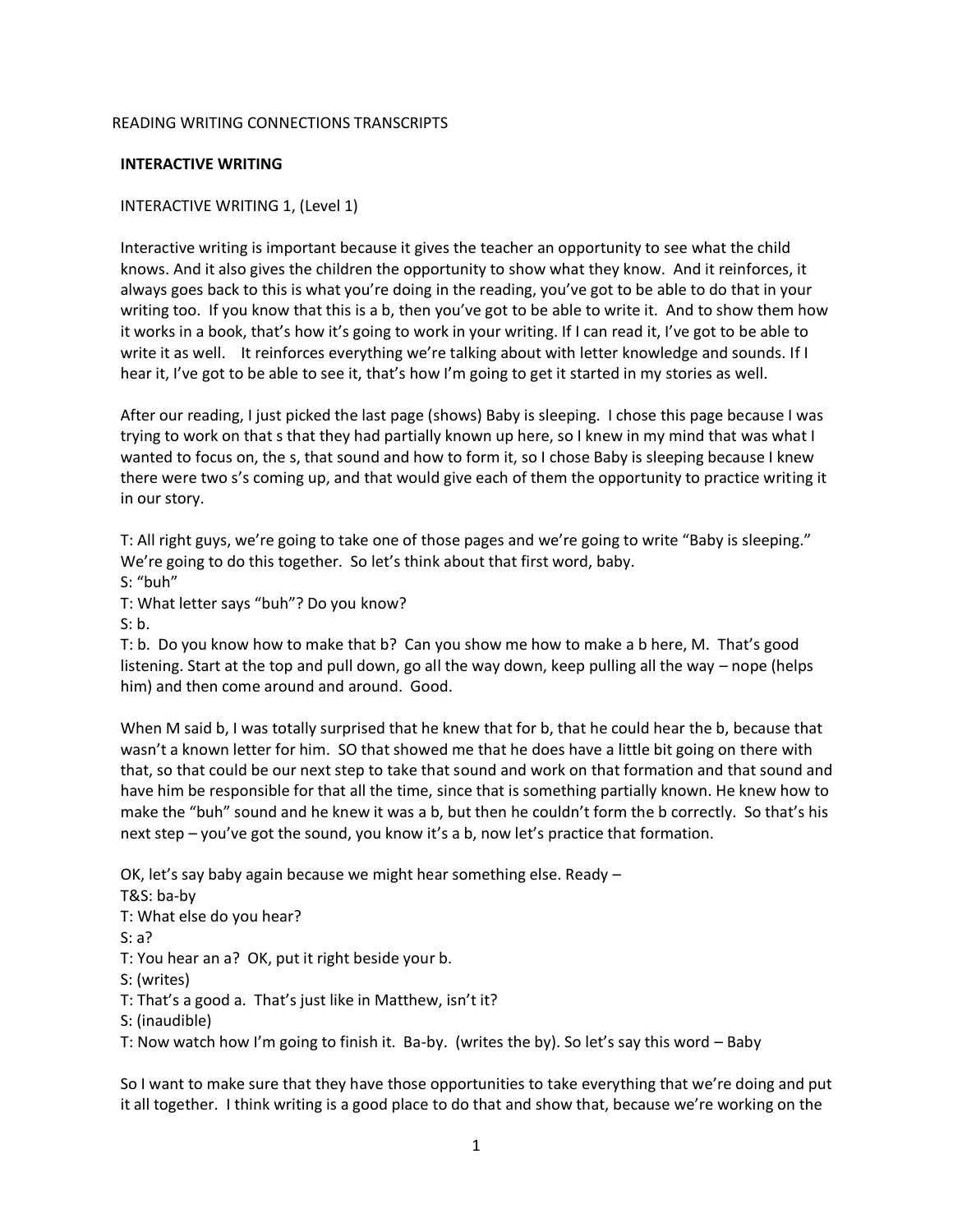#### READING WRITING CONNECTIONS TRANSCRIPTS

#### **INTERACTIVE WRITING**

#### INTERACTIVE WRITING 1, (Level 1)

Interactive writing is important because it gives the teacher an opportunity to see what the child knows. And it also gives the children the opportunity to show what they know. And it reinforces, it always goes back to this is what you're doing in the reading, you've got to be able to do that in your writing too. If you know that this is a b, then you've got to be able to write it. And to show them how it works in a book, that's how it's going to work in your writing. If I can read it, I've got to be able to write it as well. It reinforces everything we're talking about with letter knowledge and sounds. If I hear it, I've got to be able to see it, that's how I'm going to get it started in my stories as well.

After our reading, I just picked the last page (shows) Baby is sleeping. I chose this page because I was trying to work on that s that they had partially known up here, so I knew in my mind that was what I wanted to focus on, the s, that sound and how to form it, so I chose Baby is sleeping because I knew there were two s's coming up, and that would give each of them the opportunity to practice writing it in our story.

T: All right guys, we're going to take one of those pages and we're going to write "Baby is sleeping." We're going to do this together. So let's think about that first word, baby.

S: "buh"

T: What letter says "buh"? Do you know?

S: b.

T: b. Do you know how to make that b? Can you show me how to make a b here, M. That's good listening. Start at the top and pull down, go all the way down, keep pulling all the way – nope (helps him) and then come around and around. Good.

When M said b, I was totally surprised that he knew that for b, that he could hear the b, because that wasn't a known letter for him. SO that showed me that he does have a little bit going on there with that, so that could be our next step to take that sound and work on that formation and that sound and have him be responsible for that all the time, since that is something partially known. He knew how to make the "buh" sound and he knew it was a b, but then he couldn't form the b correctly. So that's his next step – you've got the sound, you know it's a b, now let's practice that formation.

OK, let's say baby again because we might hear something else. Ready – T&S: ba-by T: What else do you hear? S: a? T: You hear an a? OK, put it right beside your b. S: (writes) T: That's a good a. That's just like in Matthew, isn't it? S: (inaudible) T: Now watch how I'm going to finish it. Ba-by. (writes the by). So let's say this word – Baby

So I want to make sure that they have those opportunities to take everything that we're doing and put it all together. I think writing is a good place to do that and show that, because we're working on the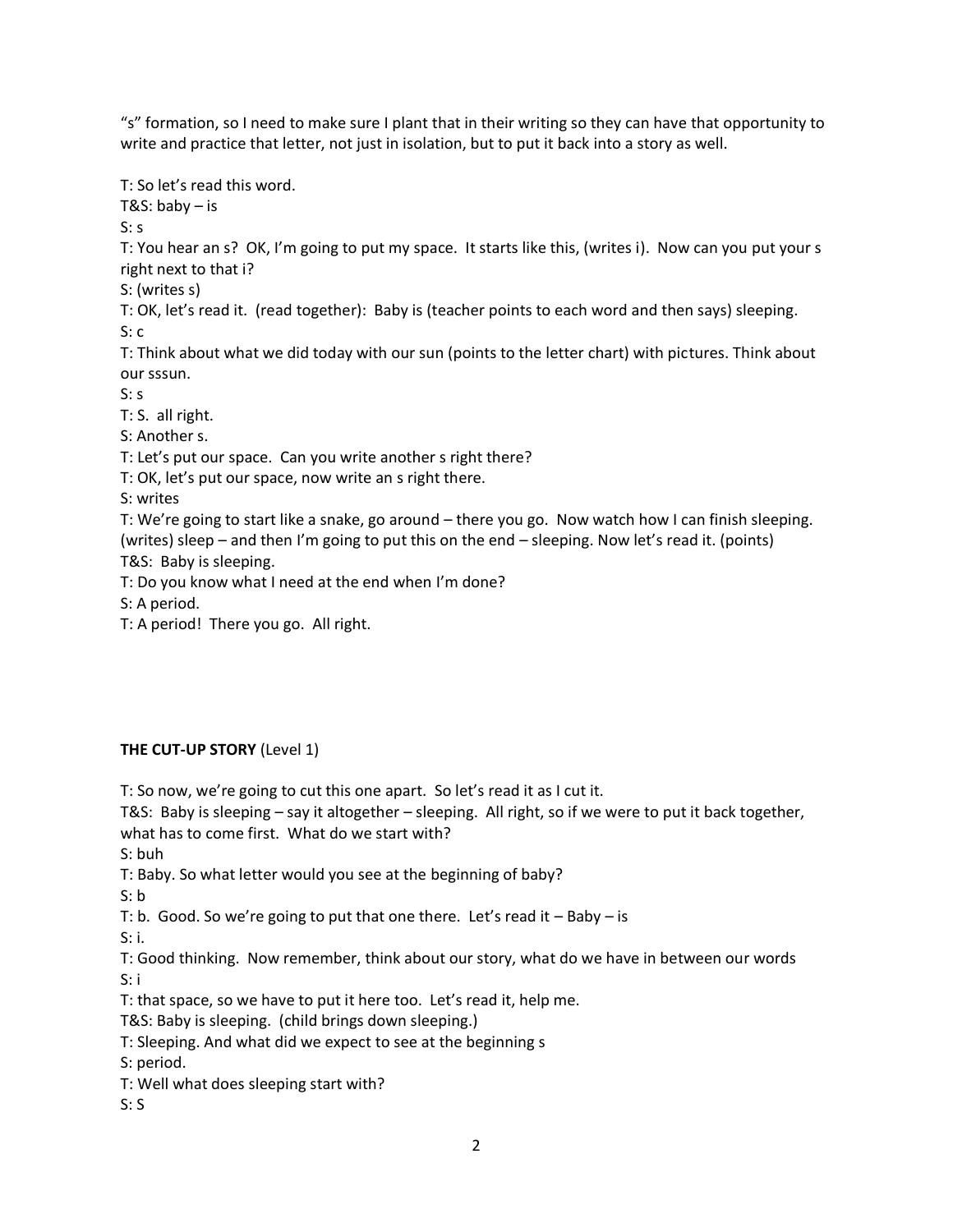"s" formation, so I need to make sure I plant that in their writing so they can have that opportunity to write and practice that letter, not just in isolation, but to put it back into a story as well.

T: So let's read this word. T&S: baby – is  $S: S$ T: You hear an s? OK, I'm going to put my space. It starts like this, (writes i). Now can you put your s right next to that i? S: (writes s) T: OK, let's read it. (read together): Baby is (teacher points to each word and then says) sleeping. S: c T: Think about what we did today with our sun (points to the letter chart) with pictures. Think about our sssun. S: s T: S. all right. S: Another s. T: Let's put our space. Can you write another s right there? T: OK, let's put our space, now write an s right there. S: writes T: We're going to start like a snake, go around – there you go. Now watch how I can finish sleeping. (writes) sleep – and then I'm going to put this on the end – sleeping. Now let's read it. (points) T&S: Baby is sleeping. T: Do you know what I need at the end when I'm done? S: A period.

T: A period! There you go. All right.

# **THE CUT-UP STORY** (Level 1)

T: So now, we're going to cut this one apart. So let's read it as I cut it.

T&S: Baby is sleeping – say it altogether – sleeping. All right, so if we were to put it back together, what has to come first. What do we start with?

S: buh

T: Baby. So what letter would you see at the beginning of baby?

 $S: b$ 

T: b. Good. So we're going to put that one there. Let's read it – Baby – is

S: i.

T: Good thinking. Now remember, think about our story, what do we have in between our words S: i

T: that space, so we have to put it here too. Let's read it, help me.

T&S: Baby is sleeping. (child brings down sleeping.)

T: Sleeping. And what did we expect to see at the beginning s

S: period.

T: Well what does sleeping start with?

S: S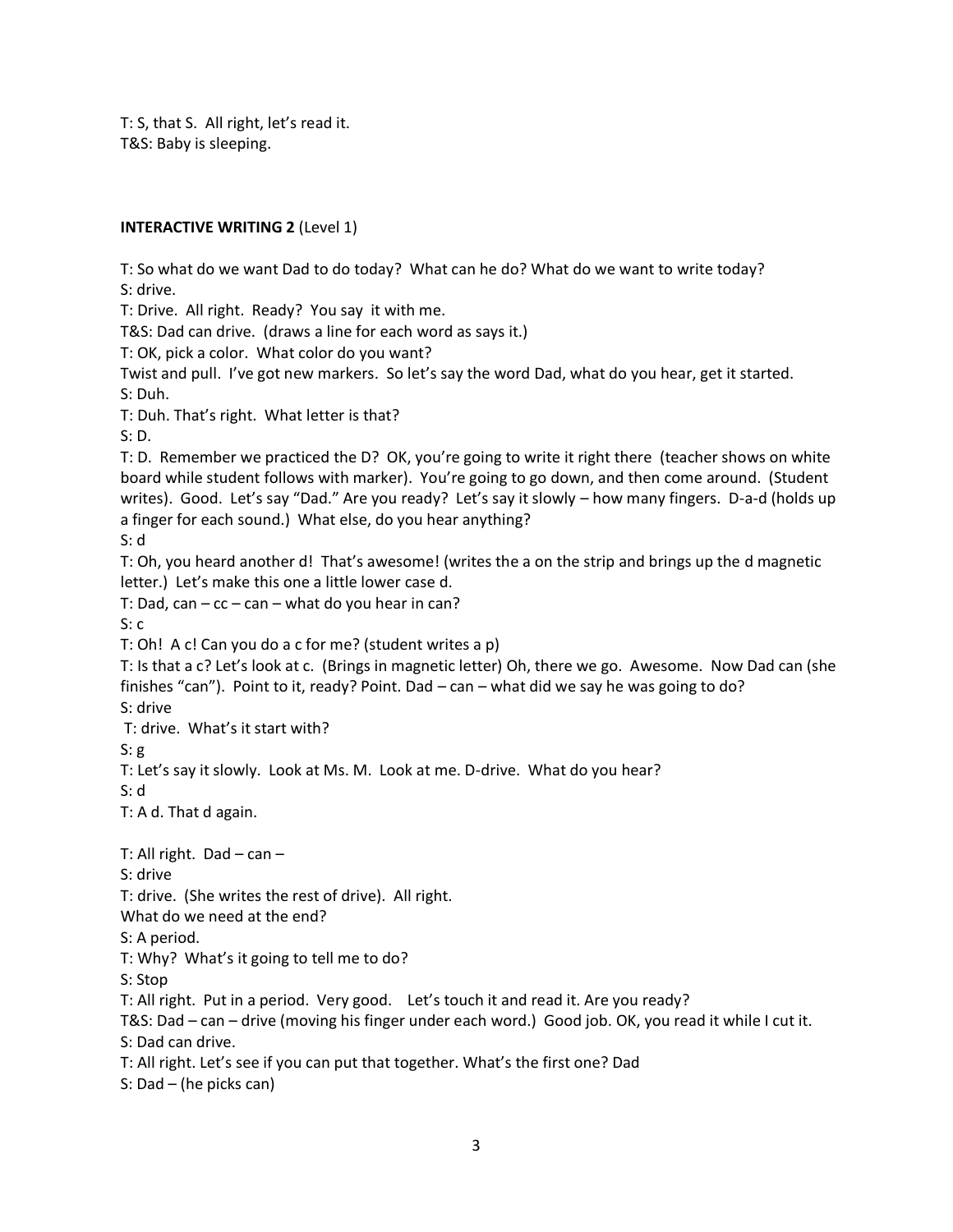T: S, that S. All right, let's read it. T&S: Baby is sleeping.

#### **INTERACTIVE WRITING 2** (Level 1)

T: So what do we want Dad to do today? What can he do? What do we want to write today? S: drive.

T: Drive. All right. Ready? You say it with me.

T&S: Dad can drive. (draws a line for each word as says it.)

T: OK, pick a color. What color do you want?

Twist and pull. I've got new markers. So let's say the word Dad, what do you hear, get it started. S: Duh.

T: Duh. That's right. What letter is that?

S: D.

T: D. Remember we practiced the D? OK, you're going to write it right there (teacher shows on white board while student follows with marker). You're going to go down, and then come around. (Student writes). Good. Let's say "Dad." Are you ready? Let's say it slowly – how many fingers. D-a-d (holds up a finger for each sound.) What else, do you hear anything?

S: d

T: Oh, you heard another d! That's awesome! (writes the a on the strip and brings up the d magnetic letter.) Let's make this one a little lower case d.

T: Dad, can –  $cc$  – can – what do you hear in can?

S: c

T: Oh! A c! Can you do a c for me? (student writes a p)

T: Is that a c? Let's look at c. (Brings in magnetic letter) Oh, there we go. Awesome. Now Dad can (she finishes "can"). Point to it, ready? Point. Dad – can – what did we say he was going to do?

S: drive

T: drive. What's it start with?

 $S: g$ 

T: Let's say it slowly. Look at Ms. M. Look at me. D-drive. What do you hear?

S: d

T: A d. That d again.

T: All right. Dad  $-$  can  $-$ 

S: drive

T: drive. (She writes the rest of drive). All right.

What do we need at the end?

S: A period.

T: Why? What's it going to tell me to do?

S: Stop

T: All right. Put in a period. Very good. Let's touch it and read it. Are you ready?

T&S: Dad – can – drive (moving his finger under each word.) Good job. OK, you read it while I cut it. S: Dad can drive.

T: All right. Let's see if you can put that together. What's the first one? Dad

S: Dad – (he picks can)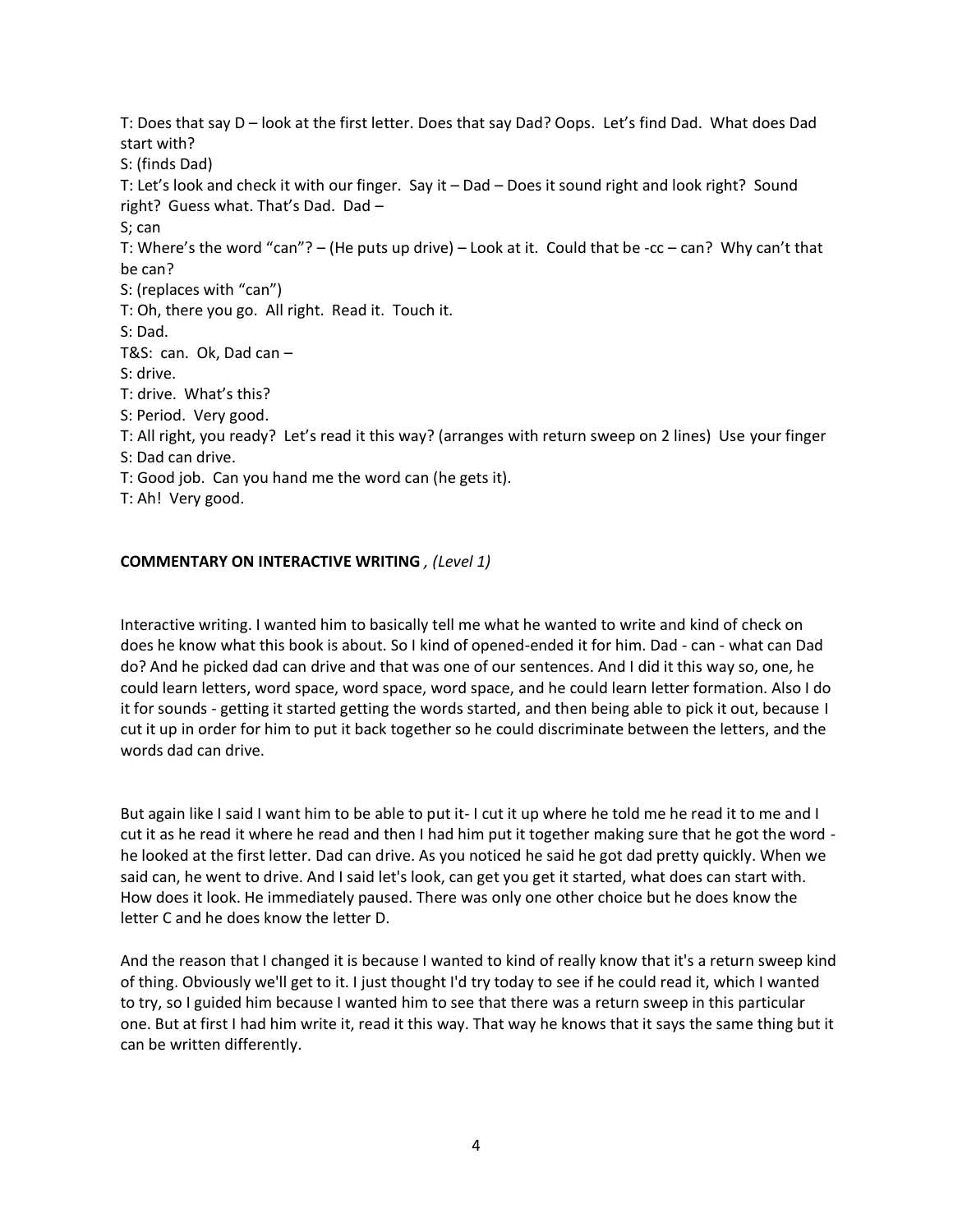T: Does that say D – look at the first letter. Does that say Dad? Oops. Let's find Dad. What does Dad start with? S: (finds Dad) T: Let's look and check it with our finger. Say it – Dad – Does it sound right and look right? Sound right? Guess what. That's Dad. Dad – S; can T: Where's the word "can"? – (He puts up drive) – Look at it. Could that be -cc – can? Why can't that be can? S: (replaces with "can") T: Oh, there you go. All right. Read it. Touch it. S: Dad. T&S: can. Ok, Dad can – S: drive. T: drive. What's this? S: Period. Very good. T: All right, you ready? Let's read it this way? (arranges with return sweep on 2 lines) Use your finger S: Dad can drive. T: Good job. Can you hand me the word can (he gets it). T: Ah! Very good.

#### **COMMENTARY ON INTERACTIVE WRITING** *, (Level 1)*

Interactive writing. I wanted him to basically tell me what he wanted to write and kind of check on does he know what this book is about. So I kind of opened-ended it for him. Dad - can - what can Dad do? And he picked dad can drive and that was one of our sentences. And I did it this way so, one, he could learn letters, word space, word space, word space, and he could learn letter formation. Also I do it for sounds - getting it started getting the words started, and then being able to pick it out, because I cut it up in order for him to put it back together so he could discriminate between the letters, and the words dad can drive.

But again like I said I want him to be able to put it- I cut it up where he told me he read it to me and I cut it as he read it where he read and then I had him put it together making sure that he got the word he looked at the first letter. Dad can drive. As you noticed he said he got dad pretty quickly. When we said can, he went to drive. And I said let's look, can get you get it started, what does can start with. How does it look. He immediately paused. There was only one other choice but he does know the letter C and he does know the letter D.

And the reason that I changed it is because I wanted to kind of really know that it's a return sweep kind of thing. Obviously we'll get to it. I just thought I'd try today to see if he could read it, which I wanted to try, so I guided him because I wanted him to see that there was a return sweep in this particular one. But at first I had him write it, read it this way. That way he knows that it says the same thing but it can be written differently.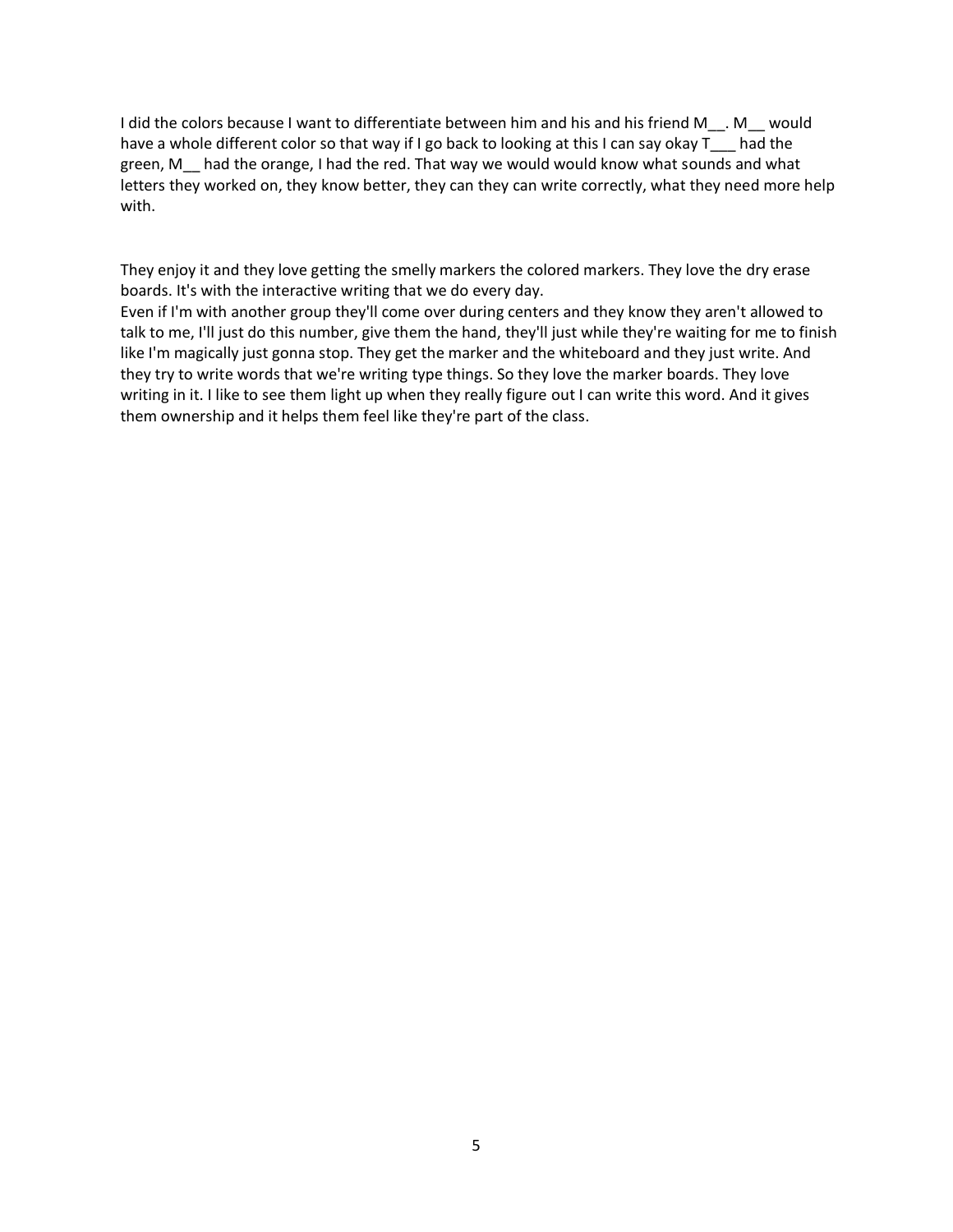I did the colors because I want to differentiate between him and his and his friend M\_\_. M\_\_ would have a whole different color so that way if I go back to looking at this I can say okay T\_\_\_ had the green, M\_\_ had the orange, I had the red. That way we would would know what sounds and what letters they worked on, they know better, they can they can write correctly, what they need more help with.

They enjoy it and they love getting the smelly markers the colored markers. They love the dry erase boards. It's with the interactive writing that we do every day.

Even if I'm with another group they'll come over during centers and they know they aren't allowed to talk to me, I'll just do this number, give them the hand, they'll just while they're waiting for me to finish like I'm magically just gonna stop. They get the marker and the whiteboard and they just write. And they try to write words that we're writing type things. So they love the marker boards. They love writing in it. I like to see them light up when they really figure out I can write this word. And it gives them ownership and it helps them feel like they're part of the class.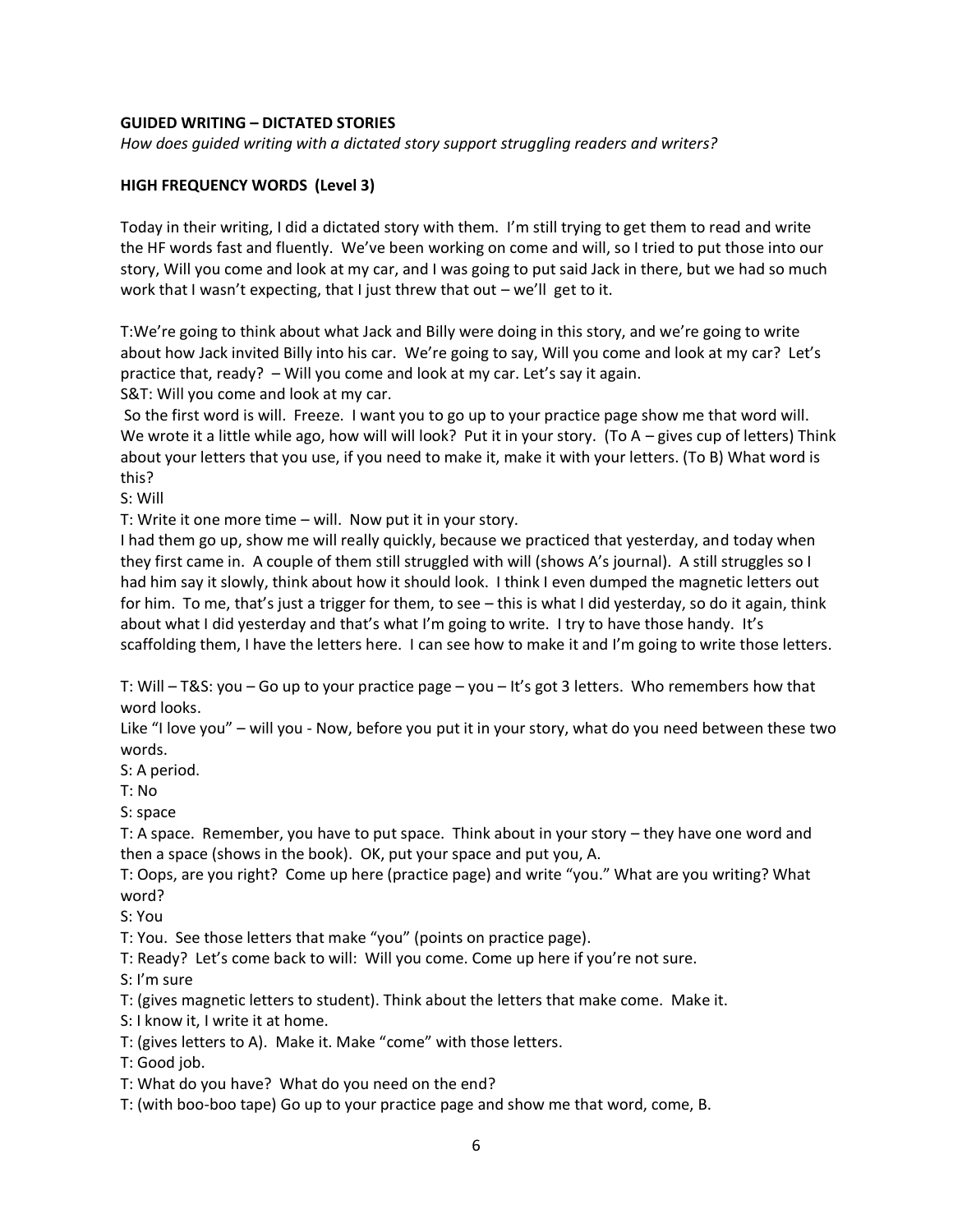#### **GUIDED WRITING – DICTATED STORIES**

*How does guided writing with a dictated story support struggling readers and writers?* 

#### **HIGH FREQUENCY WORDS (Level 3)**

Today in their writing, I did a dictated story with them. I'm still trying to get them to read and write the HF words fast and fluently. We've been working on come and will, so I tried to put those into our story, Will you come and look at my car, and I was going to put said Jack in there, but we had so much work that I wasn't expecting, that I just threw that out – we'll get to it.

T:We're going to think about what Jack and Billy were doing in this story, and we're going to write about how Jack invited Billy into his car. We're going to say, Will you come and look at my car? Let's practice that, ready? – Will you come and look at my car. Let's say it again.

S&T: Will you come and look at my car.

So the first word is will. Freeze. I want you to go up to your practice page show me that word will. We wrote it a little while ago, how will will look? Put it in your story. (To A – gives cup of letters) Think about your letters that you use, if you need to make it, make it with your letters. (To B) What word is this?

S: Will

T: Write it one more time – will. Now put it in your story.

I had them go up, show me will really quickly, because we practiced that yesterday, and today when they first came in. A couple of them still struggled with will (shows A's journal). A still struggles so I had him say it slowly, think about how it should look. I think I even dumped the magnetic letters out for him. To me, that's just a trigger for them, to see – this is what I did yesterday, so do it again, think about what I did yesterday and that's what I'm going to write. I try to have those handy. It's scaffolding them, I have the letters here. I can see how to make it and I'm going to write those letters.

T: Will – T&S: you – Go up to your practice page – you – It's got 3 letters. Who remembers how that word looks.

Like "I love you" – will you - Now, before you put it in your story, what do you need between these two words.

S: A period.

T: No

S: space

T: A space. Remember, you have to put space. Think about in your story – they have one word and then a space (shows in the book). OK, put your space and put you, A.

T: Oops, are you right? Come up here (practice page) and write "you." What are you writing? What word?

S: You

T: You. See those letters that make "you" (points on practice page).

T: Ready? Let's come back to will: Will you come. Come up here if you're not sure.

S: I'm sure

T: (gives magnetic letters to student). Think about the letters that make come. Make it.

S: I know it, I write it at home.

T: (gives letters to A). Make it. Make "come" with those letters.

T: Good job.

T: What do you have? What do you need on the end?

T: (with boo-boo tape) Go up to your practice page and show me that word, come, B.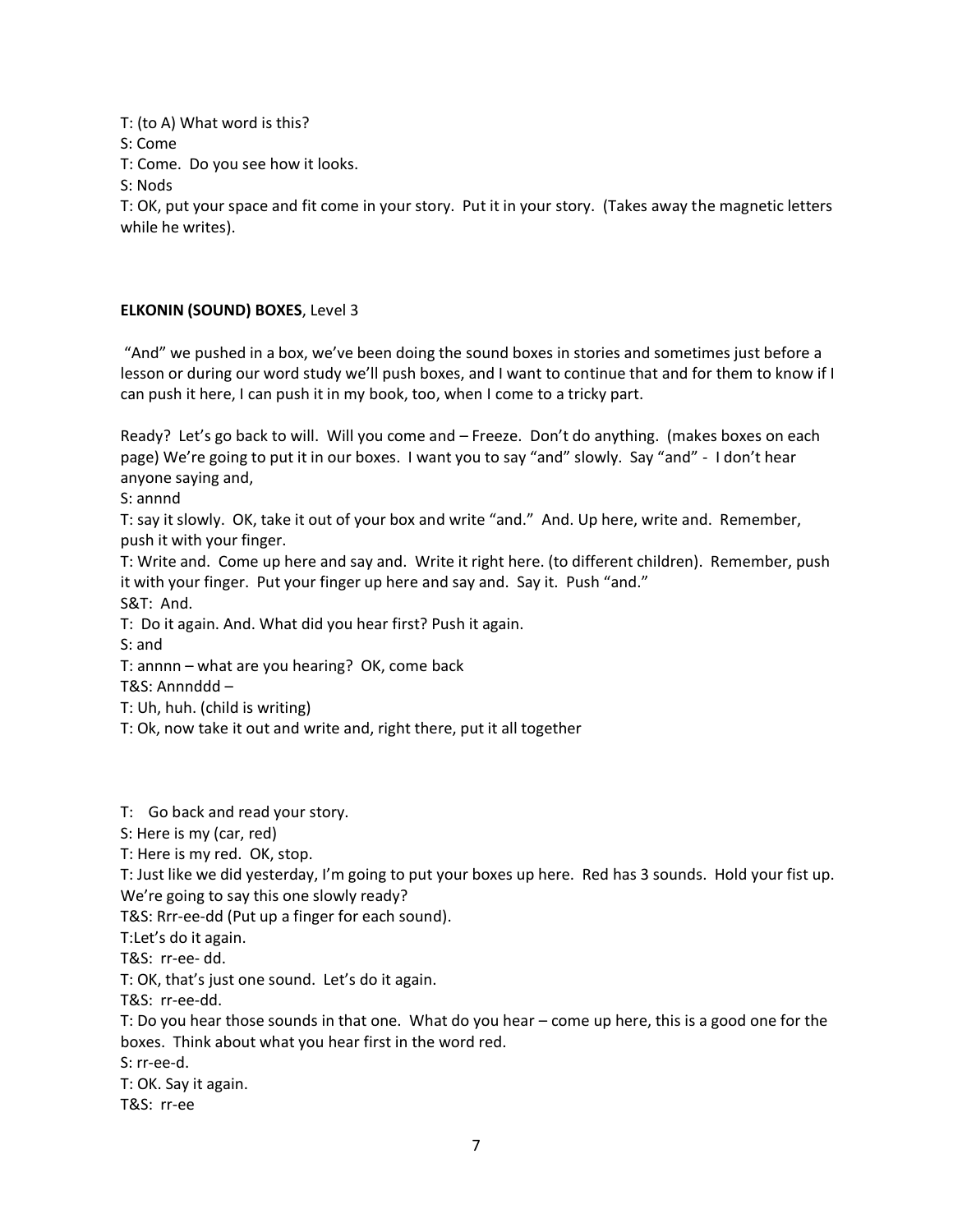T: (to A) What word is this?

S: Come

T: Come. Do you see how it looks.

S: Nods

T: OK, put your space and fit come in your story. Put it in your story. (Takes away the magnetic letters while he writes).

## **ELKONIN (SOUND) BOXES**, Level 3

"And" we pushed in a box, we've been doing the sound boxes in stories and sometimes just before a lesson or during our word study we'll push boxes, and I want to continue that and for them to know if I can push it here, I can push it in my book, too, when I come to a tricky part.

Ready? Let's go back to will. Will you come and – Freeze. Don't do anything. (makes boxes on each page) We're going to put it in our boxes. I want you to say "and" slowly. Say "and" - I don't hear anyone saying and,

S: annnd

T: say it slowly. OK, take it out of your box and write "and." And. Up here, write and. Remember, push it with your finger.

T: Write and. Come up here and say and. Write it right here. (to different children). Remember, push it with your finger. Put your finger up here and say and. Say it. Push "and."

S&T: And.

T: Do it again. And. What did you hear first? Push it again.

S: and

T: annnn – what are you hearing? OK, come back

T&S: Annnddd –

T: Uh, huh. (child is writing)

T: Ok, now take it out and write and, right there, put it all together

T: Go back and read your story.

S: Here is my (car, red)

T: Here is my red. OK, stop.

T: Just like we did yesterday, I'm going to put your boxes up here. Red has 3 sounds. Hold your fist up. We're going to say this one slowly ready?

T&S: Rrr-ee-dd (Put up a finger for each sound).

T:Let's do it again.

T&S: rr-ee- dd.

T: OK, that's just one sound. Let's do it again.

T&S: rr-ee-dd.

T: Do you hear those sounds in that one. What do you hear – come up here, this is a good one for the boxes. Think about what you hear first in the word red.

S: rr-ee-d.

T: OK. Say it again.

T&S: rr-ee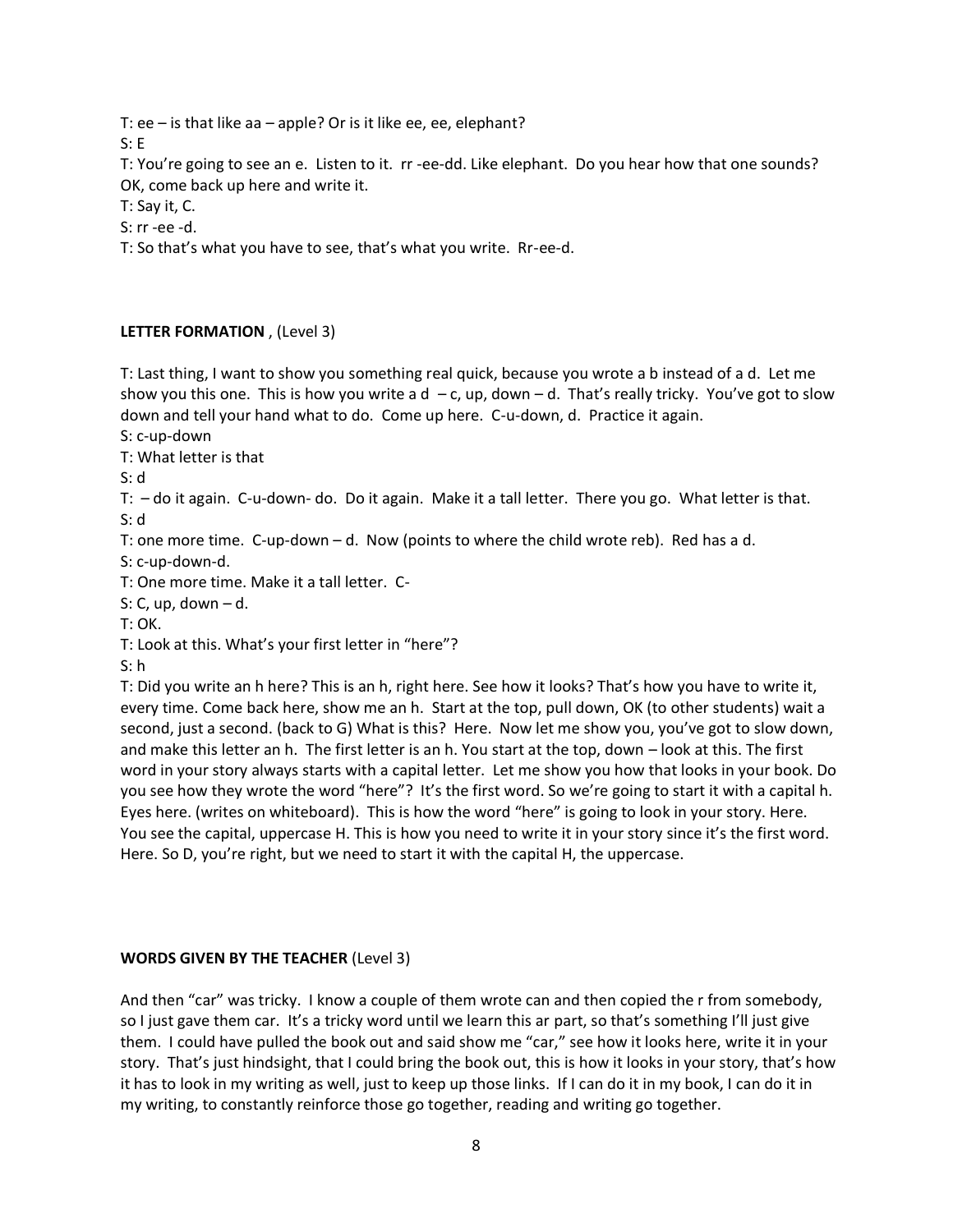T: ee – is that like aa – apple? Or is it like ee, ee, elephant?

S: E

T: You're going to see an e. Listen to it. rr -ee-dd. Like elephant. Do you hear how that one sounds? OK, come back up here and write it.

T: Say it, C.

S: rr -ee -d.

T: So that's what you have to see, that's what you write. Rr-ee-d.

## **LETTER FORMATION** , (Level 3)

T: Last thing, I want to show you something real quick, because you wrote a b instead of a d. Let me show you this one. This is how you write a  $d - c$ , up, down  $-d$ . That's really tricky. You've got to slow down and tell your hand what to do. Come up here. C-u-down, d. Practice it again.

S: c-up-down

T: What letter is that

S: d

T: – do it again. C-u-down- do. Do it again. Make it a tall letter. There you go. What letter is that. S: d

T: one more time. C-up-down  $-d$ . Now (points to where the child wrote reb). Red has a d.

S: c-up-down-d.

T: One more time. Make it a tall letter. C-

S: C, up, down  $-$  d.

T: OK.

T: Look at this. What's your first letter in "here"?

S: h

T: Did you write an h here? This is an h, right here. See how it looks? That's how you have to write it, every time. Come back here, show me an h. Start at the top, pull down, OK (to other students) wait a second, just a second. (back to G) What is this? Here. Now let me show you, you've got to slow down, and make this letter an h. The first letter is an h. You start at the top, down – look at this. The first word in your story always starts with a capital letter. Let me show you how that looks in your book. Do you see how they wrote the word "here"? It's the first word. So we're going to start it with a capital h. Eyes here. (writes on whiteboard). This is how the word "here" is going to look in your story. Here. You see the capital, uppercase H. This is how you need to write it in your story since it's the first word. Here. So D, you're right, but we need to start it with the capital H, the uppercase.

## **WORDS GIVEN BY THE TEACHER** (Level 3)

And then "car" was tricky. I know a couple of them wrote can and then copied the r from somebody, so I just gave them car. It's a tricky word until we learn this ar part, so that's something I'll just give them. I could have pulled the book out and said show me "car," see how it looks here, write it in your story. That's just hindsight, that I could bring the book out, this is how it looks in your story, that's how it has to look in my writing as well, just to keep up those links. If I can do it in my book, I can do it in my writing, to constantly reinforce those go together, reading and writing go together.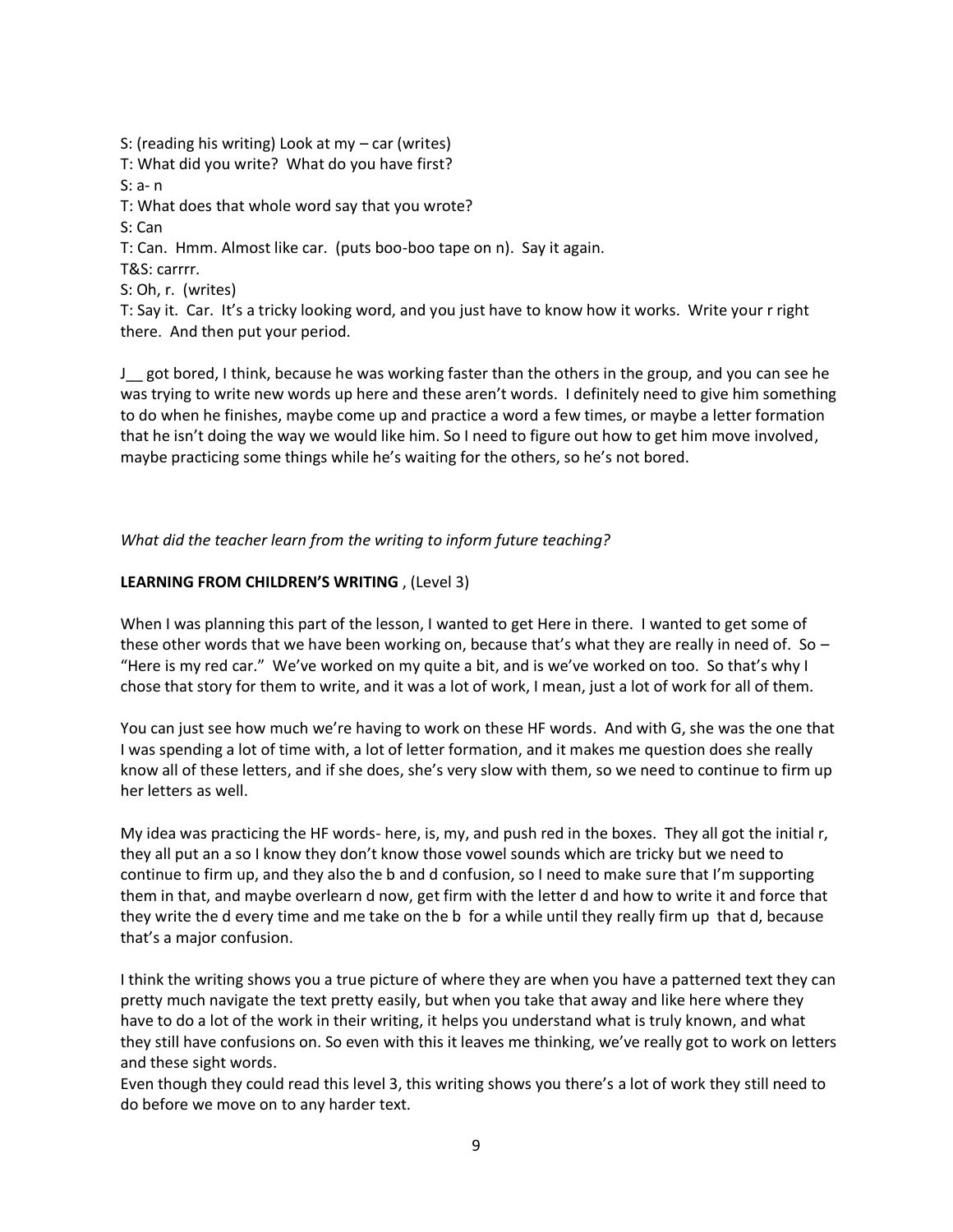S: (reading his writing) Look at my – car (writes)

T: What did you write? What do you have first?

S: a- n

T: What does that whole word say that you wrote?

S: Can

T: Can. Hmm. Almost like car. (puts boo-boo tape on n). Say it again.

T&S: carrrr.

S: Oh, r. (writes)

T: Say it. Car. It's a tricky looking word, and you just have to know how it works. Write your r right there. And then put your period.

J\_\_ got bored, I think, because he was working faster than the others in the group, and you can see he was trying to write new words up here and these aren't words. I definitely need to give him something to do when he finishes, maybe come up and practice a word a few times, or maybe a letter formation that he isn't doing the way we would like him. So I need to figure out how to get him move involved, maybe practicing some things while he's waiting for the others, so he's not bored.

*What did the teacher learn from the writing to inform future teaching?* 

### **LEARNING FROM CHILDREN'S WRITING** , (Level 3)

When I was planning this part of the lesson, I wanted to get Here in there. I wanted to get some of these other words that we have been working on, because that's what they are really in need of. So  $-$ "Here is my red car." We've worked on my quite a bit, and is we've worked on too. So that's why I chose that story for them to write, and it was a lot of work, I mean, just a lot of work for all of them.

You can just see how much we're having to work on these HF words. And with G, she was the one that I was spending a lot of time with, a lot of letter formation, and it makes me question does she really know all of these letters, and if she does, she's very slow with them, so we need to continue to firm up her letters as well.

My idea was practicing the HF words- here, is, my, and push red in the boxes. They all got the initial r, they all put an a so I know they don't know those vowel sounds which are tricky but we need to continue to firm up, and they also the b and d confusion, so I need to make sure that I'm supporting them in that, and maybe overlearn d now, get firm with the letter d and how to write it and force that they write the d every time and me take on the b for a while until they really firm up that d, because that's a major confusion.

I think the writing shows you a true picture of where they are when you have a patterned text they can pretty much navigate the text pretty easily, but when you take that away and like here where they have to do a lot of the work in their writing, it helps you understand what is truly known, and what they still have confusions on. So even with this it leaves me thinking, we've really got to work on letters and these sight words.

Even though they could read this level 3, this writing shows you there's a lot of work they still need to do before we move on to any harder text.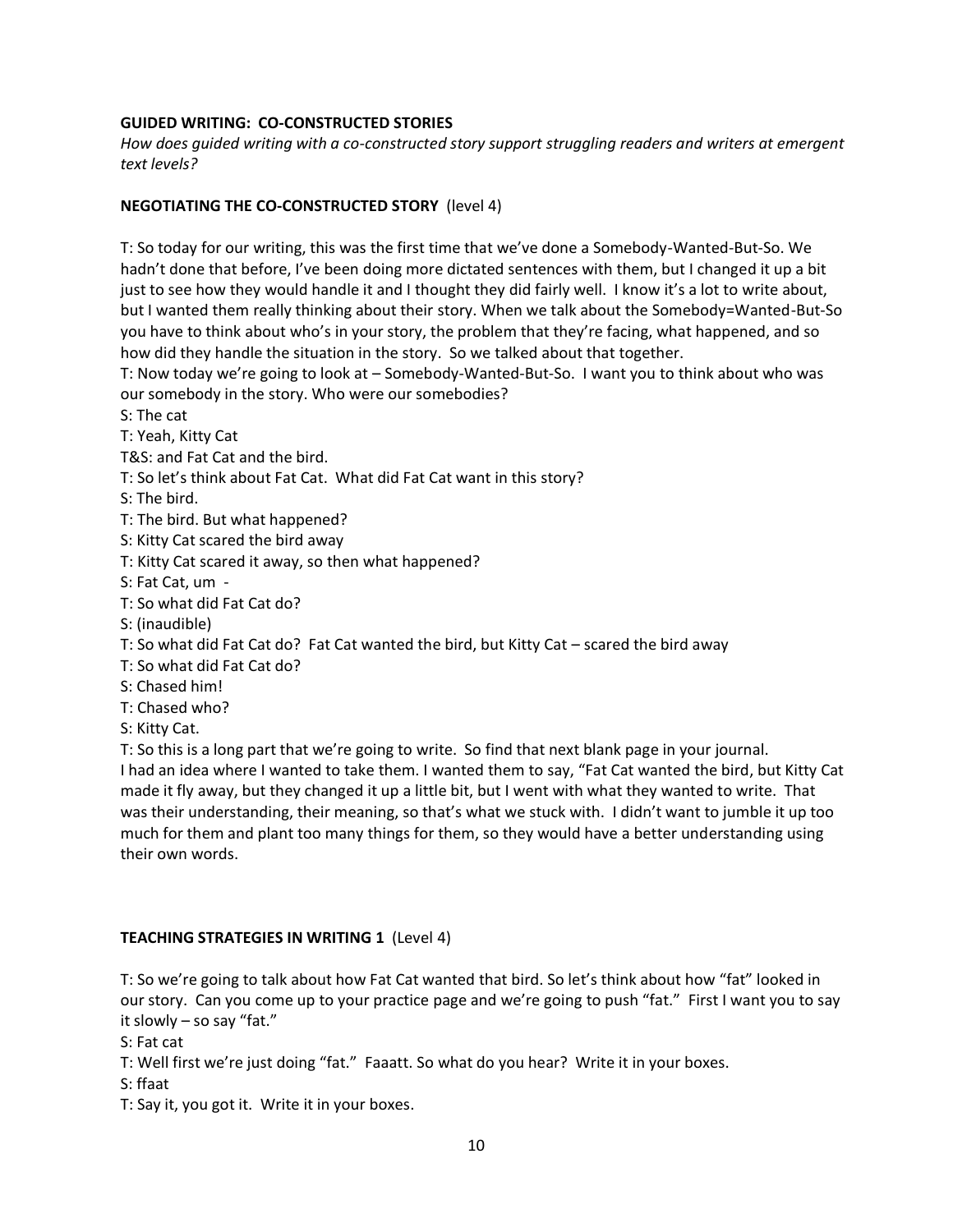### **GUIDED WRITING: CO-CONSTRUCTED STORIES**

*How does guided writing with a co-constructed story support struggling readers and writers at emergent text levels?* 

#### **NEGOTIATING THE CO-CONSTRUCTED STORY** (level 4)

T: So today for our writing, this was the first time that we've done a Somebody-Wanted-But-So. We hadn't done that before, I've been doing more dictated sentences with them, but I changed it up a bit just to see how they would handle it and I thought they did fairly well. I know it's a lot to write about, but I wanted them really thinking about their story. When we talk about the Somebody=Wanted-But-So you have to think about who's in your story, the problem that they're facing, what happened, and so how did they handle the situation in the story. So we talked about that together.

T: Now today we're going to look at – Somebody-Wanted-But-So. I want you to think about who was our somebody in the story. Who were our somebodies?

S: The cat

T: Yeah, Kitty Cat

T&S: and Fat Cat and the bird.

T: So let's think about Fat Cat. What did Fat Cat want in this story?

S: The bird.

T: The bird. But what happened?

S: Kitty Cat scared the bird away

T: Kitty Cat scared it away, so then what happened?

S: Fat Cat, um -

T: So what did Fat Cat do?

S: (inaudible)

T: So what did Fat Cat do? Fat Cat wanted the bird, but Kitty Cat – scared the bird away

T: So what did Fat Cat do?

S: Chased him!

T: Chased who?

S: Kitty Cat.

T: So this is a long part that we're going to write. So find that next blank page in your journal. I had an idea where I wanted to take them. I wanted them to say, "Fat Cat wanted the bird, but Kitty Cat made it fly away, but they changed it up a little bit, but I went with what they wanted to write. That was their understanding, their meaning, so that's what we stuck with. I didn't want to jumble it up too much for them and plant too many things for them, so they would have a better understanding using their own words.

## **TEACHING STRATEGIES IN WRITING 1** (Level 4)

T: So we're going to talk about how Fat Cat wanted that bird. So let's think about how "fat" looked in our story. Can you come up to your practice page and we're going to push "fat." First I want you to say it slowly – so say "fat."

S: Fat cat

T: Well first we're just doing "fat." Faaatt. So what do you hear? Write it in your boxes.

S: ffaat

T: Say it, you got it. Write it in your boxes.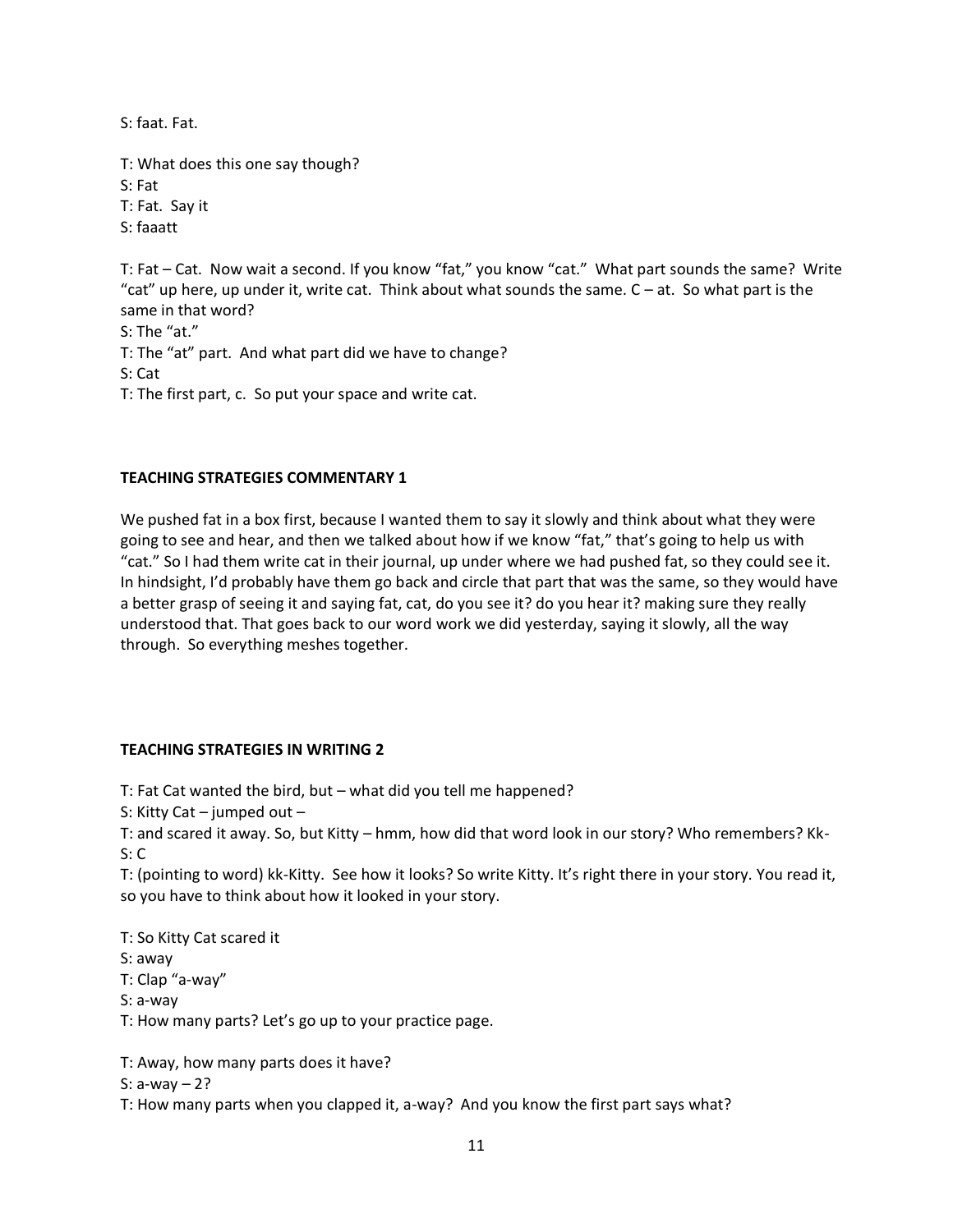S: faat. Fat.

T: What does this one say though? S: Fat T: Fat. Say it S: faaatt

T: Fat – Cat. Now wait a second. If you know "fat," you know "cat." What part sounds the same? Write "cat" up here, up under it, write cat. Think about what sounds the same.  $C - at$ . So what part is the same in that word?

S: The "at."

T: The "at" part. And what part did we have to change?

S: Cat

T: The first part, c. So put your space and write cat.

### **TEACHING STRATEGIES COMMENTARY 1**

We pushed fat in a box first, because I wanted them to say it slowly and think about what they were going to see and hear, and then we talked about how if we know "fat," that's going to help us with "cat." So I had them write cat in their journal, up under where we had pushed fat, so they could see it. In hindsight, I'd probably have them go back and circle that part that was the same, so they would have a better grasp of seeing it and saying fat, cat, do you see it? do you hear it? making sure they really understood that. That goes back to our word work we did yesterday, saying it slowly, all the way through. So everything meshes together.

## **TEACHING STRATEGIES IN WRITING 2**

T: Fat Cat wanted the bird, but – what did you tell me happened?

S: Kitty Cat – jumped out –

T: and scared it away. So, but Kitty – hmm, how did that word look in our story? Who remembers? Kk-S: C

T: (pointing to word) kk-Kitty. See how it looks? So write Kitty. It's right there in your story. You read it, so you have to think about how it looked in your story.

T: So Kitty Cat scared it

S: away

T: Clap "a-way"

S: a-way

T: How many parts? Let's go up to your practice page.

T: Away, how many parts does it have?

S: a-way – 2?

T: How many parts when you clapped it, a-way? And you know the first part says what?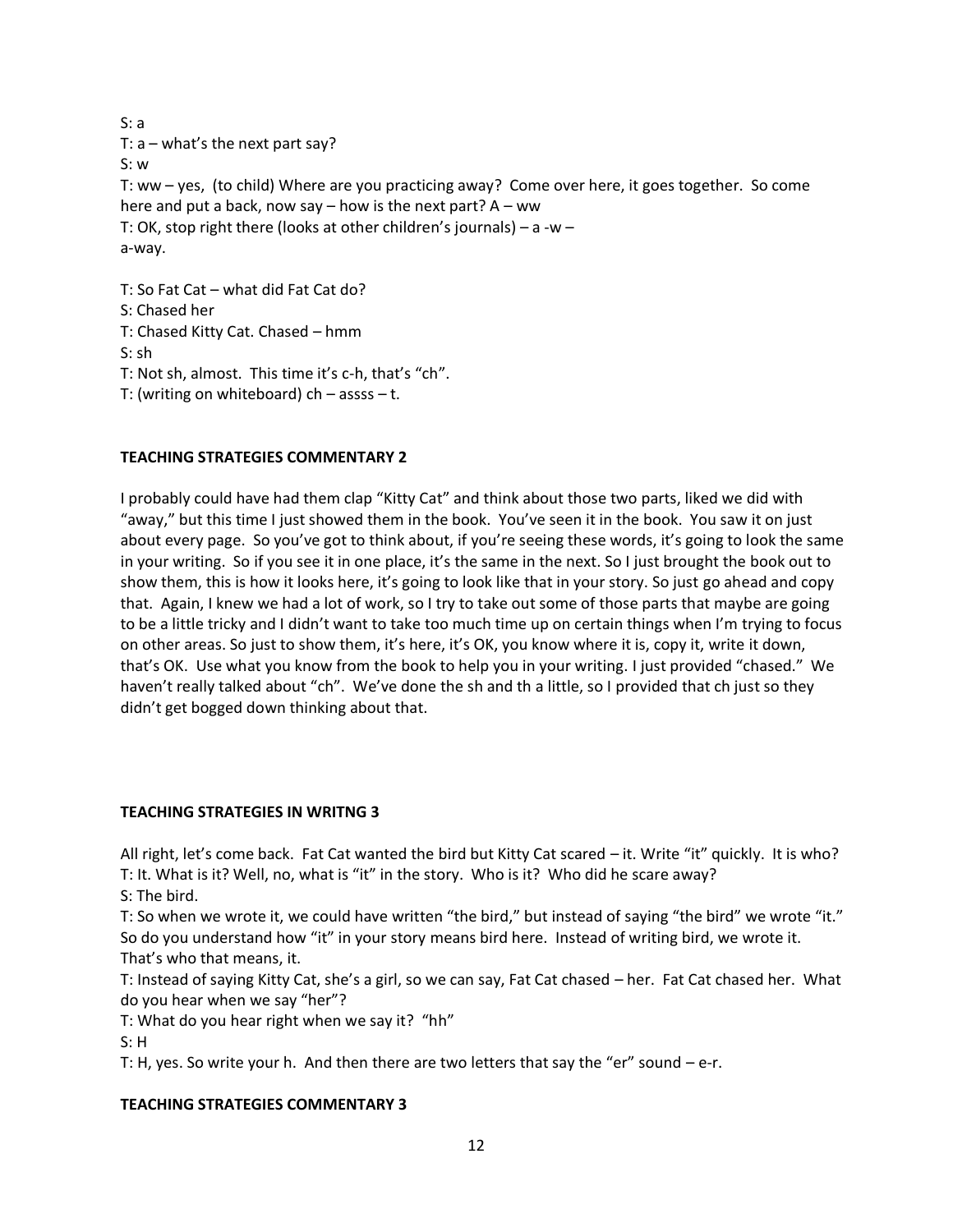S: a T:  $a$  – what's the next part say? S: w T: ww – yes, (to child) Where are you practicing away? Come over here, it goes together. So come here and put a back, now say – how is the next part?  $A - ww$ T: OK, stop right there (looks at other children's journals) – a -w – a-way. T: So Fat Cat – what did Fat Cat do? S: Chased her T: Chased Kitty Cat. Chased – hmm S: sh T: Not sh, almost. This time it's c-h, that's "ch". T: (writing on whiteboard)  $ch - \text{assss} - t$ .

## **TEACHING STRATEGIES COMMENTARY 2**

I probably could have had them clap "Kitty Cat" and think about those two parts, liked we did with "away," but this time I just showed them in the book. You've seen it in the book. You saw it on just about every page. So you've got to think about, if you're seeing these words, it's going to look the same in your writing. So if you see it in one place, it's the same in the next. So I just brought the book out to show them, this is how it looks here, it's going to look like that in your story. So just go ahead and copy that. Again, I knew we had a lot of work, so I try to take out some of those parts that maybe are going to be a little tricky and I didn't want to take too much time up on certain things when I'm trying to focus on other areas. So just to show them, it's here, it's OK, you know where it is, copy it, write it down, that's OK. Use what you know from the book to help you in your writing. I just provided "chased." We haven't really talked about "ch". We've done the sh and th a little, so I provided that ch just so they didn't get bogged down thinking about that.

#### **TEACHING STRATEGIES IN WRITNG 3**

All right, let's come back. Fat Cat wanted the bird but Kitty Cat scared – it. Write "it" quickly. It is who? T: It. What is it? Well, no, what is "it" in the story. Who is it? Who did he scare away?

S: The bird.

T: So when we wrote it, we could have written "the bird," but instead of saying "the bird" we wrote "it." So do you understand how "it" in your story means bird here. Instead of writing bird, we wrote it. That's who that means, it.

T: Instead of saying Kitty Cat, she's a girl, so we can say, Fat Cat chased – her. Fat Cat chased her. What do you hear when we say "her"?

T: What do you hear right when we say it? "hh"

S: H

T: H, yes. So write your h. And then there are two letters that say the "er" sound  $-e-r$ .

## **TEACHING STRATEGIES COMMENTARY 3**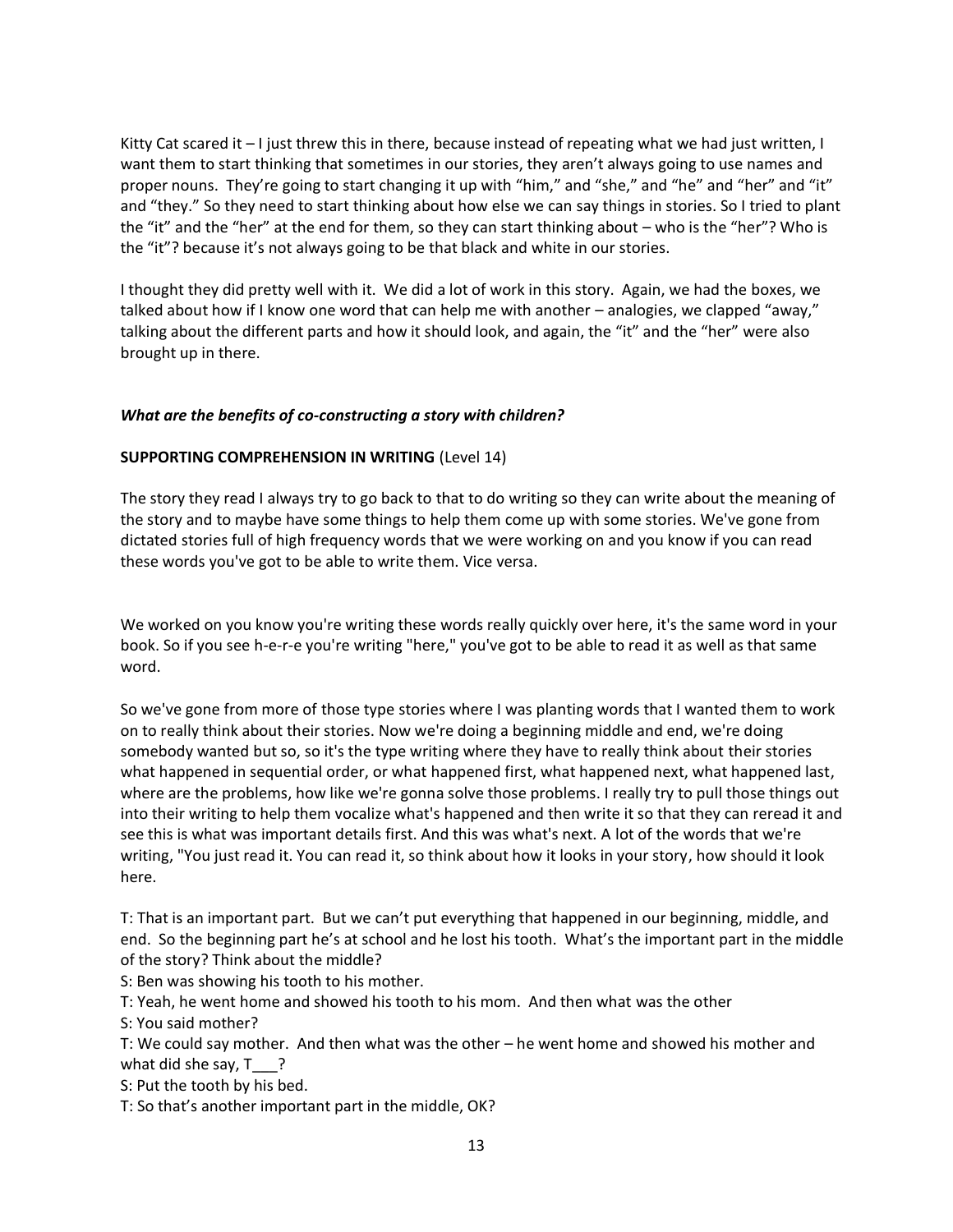Kitty Cat scared it – I just threw this in there, because instead of repeating what we had just written, I want them to start thinking that sometimes in our stories, they aren't always going to use names and proper nouns. They're going to start changing it up with "him," and "she," and "he" and "her" and "it" and "they." So they need to start thinking about how else we can say things in stories. So I tried to plant the "it" and the "her" at the end for them, so they can start thinking about – who is the "her"? Who is the "it"? because it's not always going to be that black and white in our stories.

I thought they did pretty well with it. We did a lot of work in this story. Again, we had the boxes, we talked about how if I know one word that can help me with another – analogies, we clapped "away," talking about the different parts and how it should look, and again, the "it" and the "her" were also brought up in there.

### *What are the benefits of co-constructing a story with children?*

### **SUPPORTING COMPREHENSION IN WRITING** (Level 14)

The story they read I always try to go back to that to do writing so they can write about the meaning of the story and to maybe have some things to help them come up with some stories. We've gone from dictated stories full of high frequency words that we were working on and you know if you can read these words you've got to be able to write them. Vice versa.

We worked on you know you're writing these words really quickly over here, it's the same word in your book. So if you see h-e-r-e you're writing "here," you've got to be able to read it as well as that same word.

So we've gone from more of those type stories where I was planting words that I wanted them to work on to really think about their stories. Now we're doing a beginning middle and end, we're doing somebody wanted but so, so it's the type writing where they have to really think about their stories what happened in sequential order, or what happened first, what happened next, what happened last, where are the problems, how like we're gonna solve those problems. I really try to pull those things out into their writing to help them vocalize what's happened and then write it so that they can reread it and see this is what was important details first. And this was what's next. A lot of the words that we're writing, "You just read it. You can read it, so think about how it looks in your story, how should it look here.

T: That is an important part. But we can't put everything that happened in our beginning, middle, and end. So the beginning part he's at school and he lost his tooth. What's the important part in the middle of the story? Think about the middle?

S: Ben was showing his tooth to his mother.

T: Yeah, he went home and showed his tooth to his mom. And then what was the other

S: You said mother?

T: We could say mother. And then what was the other – he went home and showed his mother and what did she say,  $T \quad ?$ 

S: Put the tooth by his bed.

T: So that's another important part in the middle, OK?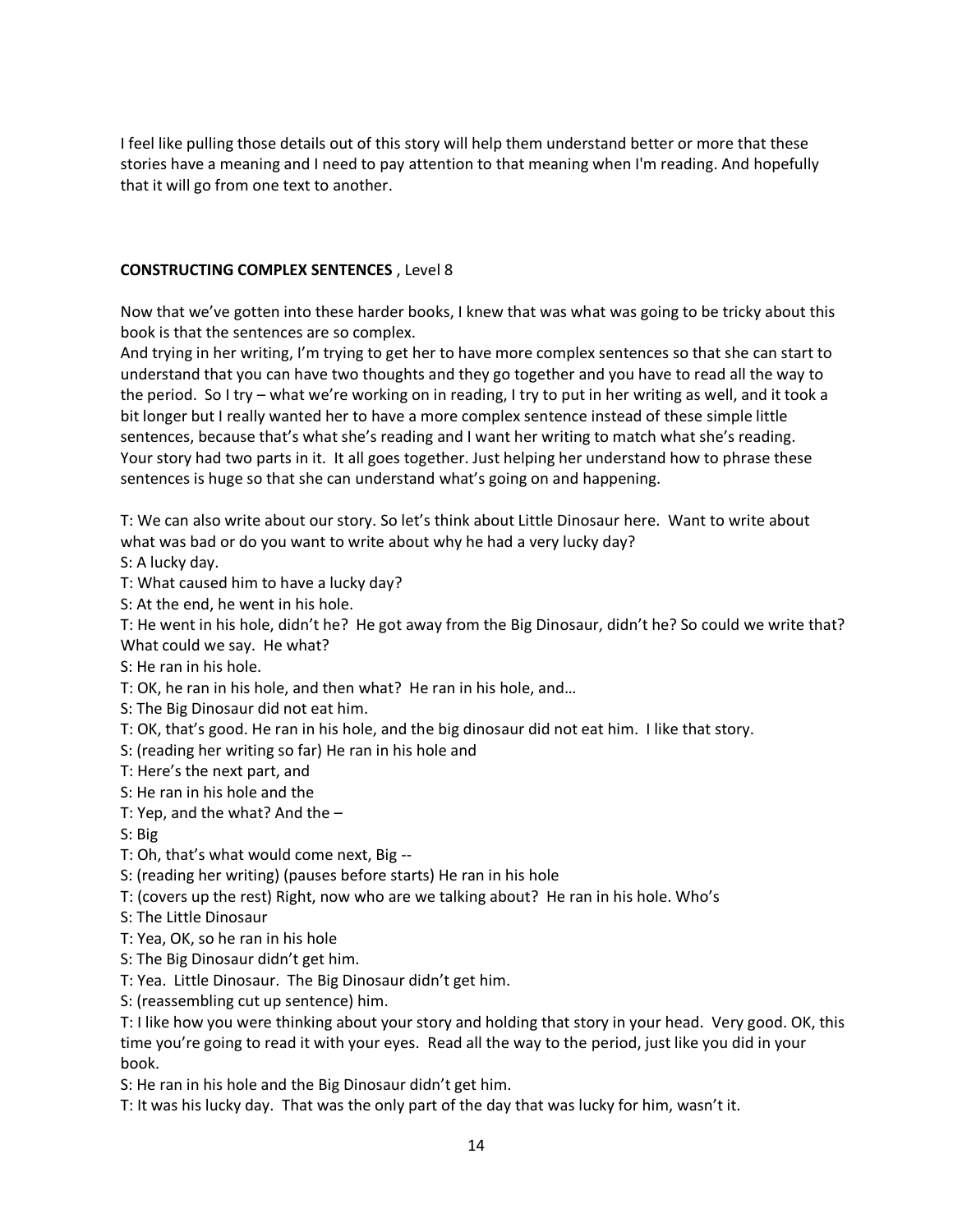I feel like pulling those details out of this story will help them understand better or more that these stories have a meaning and I need to pay attention to that meaning when I'm reading. And hopefully that it will go from one text to another.

### **CONSTRUCTING COMPLEX SENTENCES** , Level 8

Now that we've gotten into these harder books, I knew that was what was going to be tricky about this book is that the sentences are so complex.

And trying in her writing, I'm trying to get her to have more complex sentences so that she can start to understand that you can have two thoughts and they go together and you have to read all the way to the period. So I try – what we're working on in reading, I try to put in her writing as well, and it took a bit longer but I really wanted her to have a more complex sentence instead of these simple little sentences, because that's what she's reading and I want her writing to match what she's reading. Your story had two parts in it. It all goes together. Just helping her understand how to phrase these sentences is huge so that she can understand what's going on and happening.

T: We can also write about our story. So let's think about Little Dinosaur here. Want to write about what was bad or do you want to write about why he had a very lucky day?

S: A lucky day.

T: What caused him to have a lucky day?

S: At the end, he went in his hole.

T: He went in his hole, didn't he? He got away from the Big Dinosaur, didn't he? So could we write that? What could we say. He what?

S: He ran in his hole.

T: OK, he ran in his hole, and then what? He ran in his hole, and…

S: The Big Dinosaur did not eat him.

T: OK, that's good. He ran in his hole, and the big dinosaur did not eat him. I like that story.

S: (reading her writing so far) He ran in his hole and

T: Here's the next part, and

S: He ran in his hole and the

T: Yep, and the what? And the –

S: Big

T: Oh, that's what would come next, Big --

S: (reading her writing) (pauses before starts) He ran in his hole

T: (covers up the rest) Right, now who are we talking about? He ran in his hole. Who's

S: The Little Dinosaur

T: Yea, OK, so he ran in his hole

S: The Big Dinosaur didn't get him.

T: Yea. Little Dinosaur. The Big Dinosaur didn't get him.

S: (reassembling cut up sentence) him.

T: I like how you were thinking about your story and holding that story in your head. Very good. OK, this time you're going to read it with your eyes. Read all the way to the period, just like you did in your book.

S: He ran in his hole and the Big Dinosaur didn't get him.

T: It was his lucky day. That was the only part of the day that was lucky for him, wasn't it.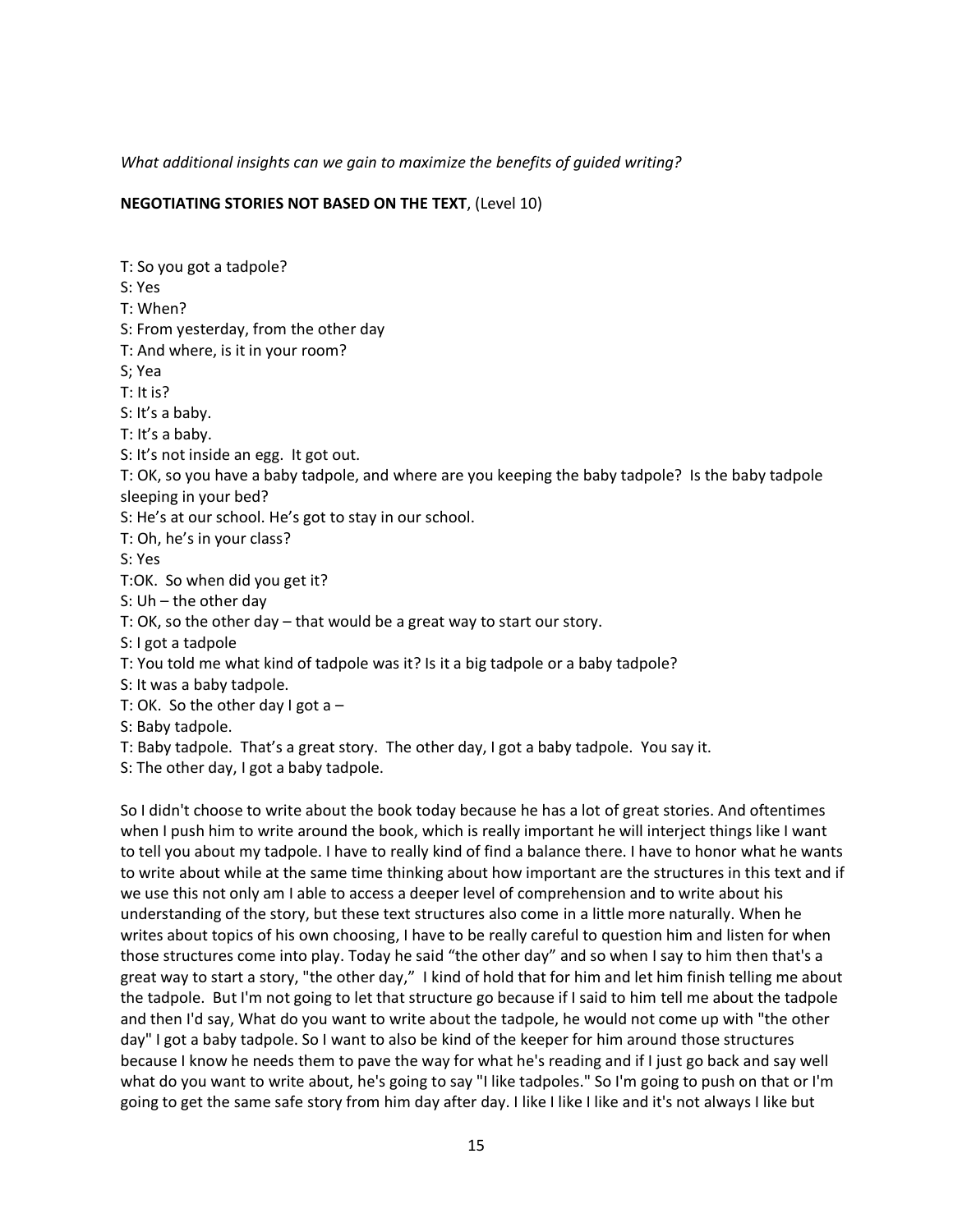*What additional insights can we gain to maximize the benefits of guided writing?*

#### **NEGOTIATING STORIES NOT BASED ON THE TEXT**, (Level 10)

T: So you got a tadpole? S: Yes T: When? S: From yesterday, from the other day T: And where, is it in your room? S; Yea T: It is? S: It's a baby. T: It's a baby. S: It's not inside an egg. It got out. T: OK, so you have a baby tadpole, and where are you keeping the baby tadpole? Is the baby tadpole sleeping in your bed? S: He's at our school. He's got to stay in our school. T: Oh, he's in your class? S: Yes T:OK. So when did you get it? S: Uh – the other day T: OK, so the other day – that would be a great way to start our story. S: I got a tadpole T: You told me what kind of tadpole was it? Is it a big tadpole or a baby tadpole? S: It was a baby tadpole. T: OK. So the other day I got a  $-$ S: Baby tadpole. T: Baby tadpole. That's a great story. The other day, I got a baby tadpole. You say it. S: The other day, I got a baby tadpole. So I didn't choose to write about the book today because he has a lot of great stories. And oftentimes

when I push him to write around the book, which is really important he will interject things like I want to tell you about my tadpole. I have to really kind of find a balance there. I have to honor what he wants to write about while at the same time thinking about how important are the structures in this text and if we use this not only am I able to access a deeper level of comprehension and to write about his understanding of the story, but these text structures also come in a little more naturally. When he writes about topics of his own choosing, I have to be really careful to question him and listen for when those structures come into play. Today he said "the other day" and so when I say to him then that's a great way to start a story, "the other day," I kind of hold that for him and let him finish telling me about the tadpole. But I'm not going to let that structure go because if I said to him tell me about the tadpole and then I'd say, What do you want to write about the tadpole, he would not come up with "the other day" I got a baby tadpole. So I want to also be kind of the keeper for him around those structures because I know he needs them to pave the way for what he's reading and if I just go back and say well what do you want to write about, he's going to say "I like tadpoles." So I'm going to push on that or I'm going to get the same safe story from him day after day. I like I like I like and it's not always I like but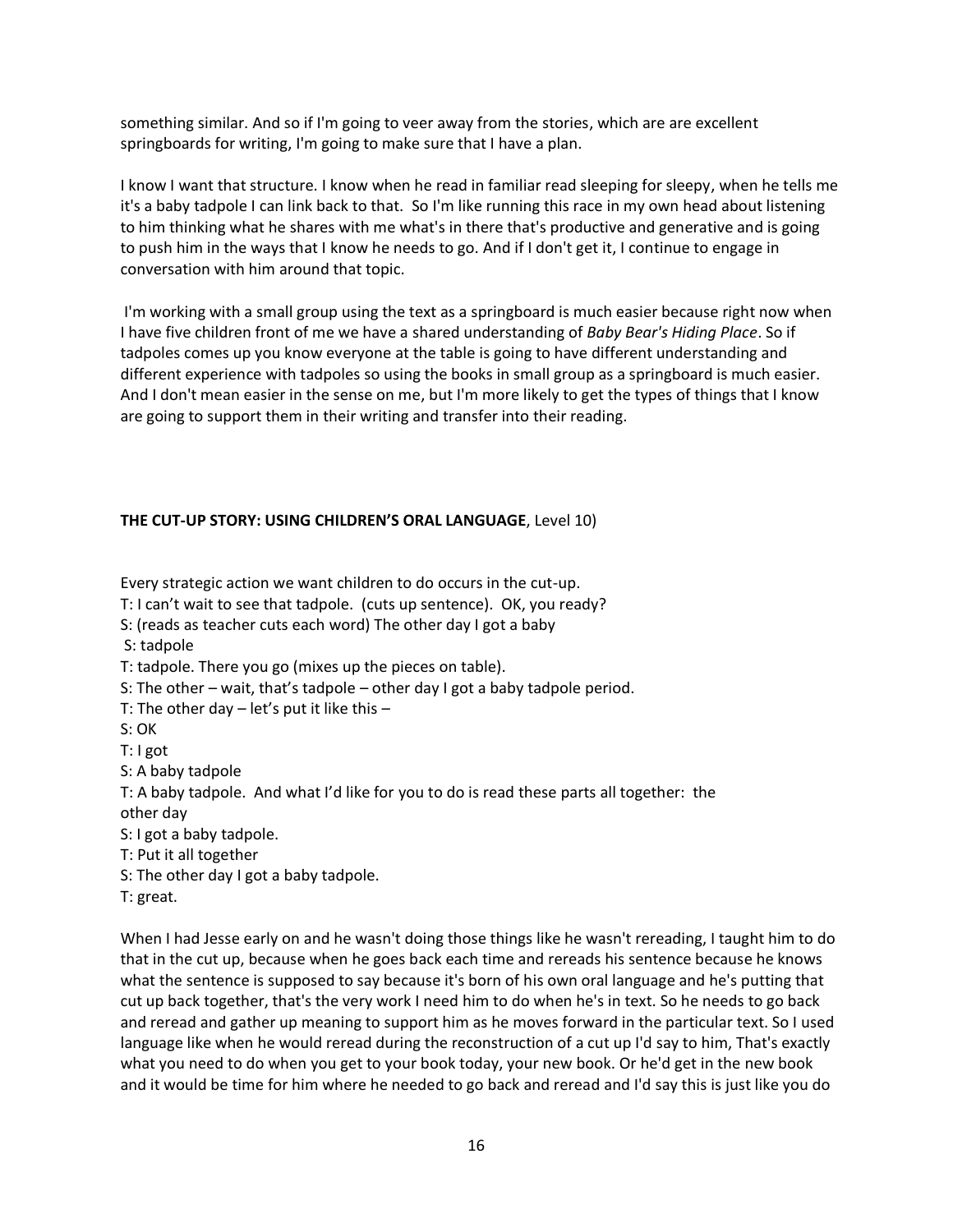something similar. And so if I'm going to veer away from the stories, which are are excellent springboards for writing, I'm going to make sure that I have a plan.

I know I want that structure. I know when he read in familiar read sleeping for sleepy, when he tells me it's a baby tadpole I can link back to that. So I'm like running this race in my own head about listening to him thinking what he shares with me what's in there that's productive and generative and is going to push him in the ways that I know he needs to go. And if I don't get it, I continue to engage in conversation with him around that topic.

I'm working with a small group using the text as a springboard is much easier because right now when I have five children front of me we have a shared understanding of *Baby Bear's Hiding Place*. So if tadpoles comes up you know everyone at the table is going to have different understanding and different experience with tadpoles so using the books in small group as a springboard is much easier. And I don't mean easier in the sense on me, but I'm more likely to get the types of things that I know are going to support them in their writing and transfer into their reading.

#### **THE CUT-UP STORY: USING CHILDREN'S ORAL LANGUAGE**, Level 10)

Every strategic action we want children to do occurs in the cut-up.

T: I can't wait to see that tadpole. (cuts up sentence). OK, you ready?

S: (reads as teacher cuts each word) The other day I got a baby

S: tadpole

T: tadpole. There you go (mixes up the pieces on table).

S: The other – wait, that's tadpole – other day I got a baby tadpole period.

T: The other day – let's put it like this –

S: OK

T: I got

S: A baby tadpole

T: A baby tadpole. And what I'd like for you to do is read these parts all together: the other day

S: I got a baby tadpole.

T: Put it all together

S: The other day I got a baby tadpole.

T: great.

When I had Jesse early on and he wasn't doing those things like he wasn't rereading, I taught him to do that in the cut up, because when he goes back each time and rereads his sentence because he knows what the sentence is supposed to say because it's born of his own oral language and he's putting that cut up back together, that's the very work I need him to do when he's in text. So he needs to go back and reread and gather up meaning to support him as he moves forward in the particular text. So I used language like when he would reread during the reconstruction of a cut up I'd say to him, That's exactly what you need to do when you get to your book today, your new book. Or he'd get in the new book and it would be time for him where he needed to go back and reread and I'd say this is just like you do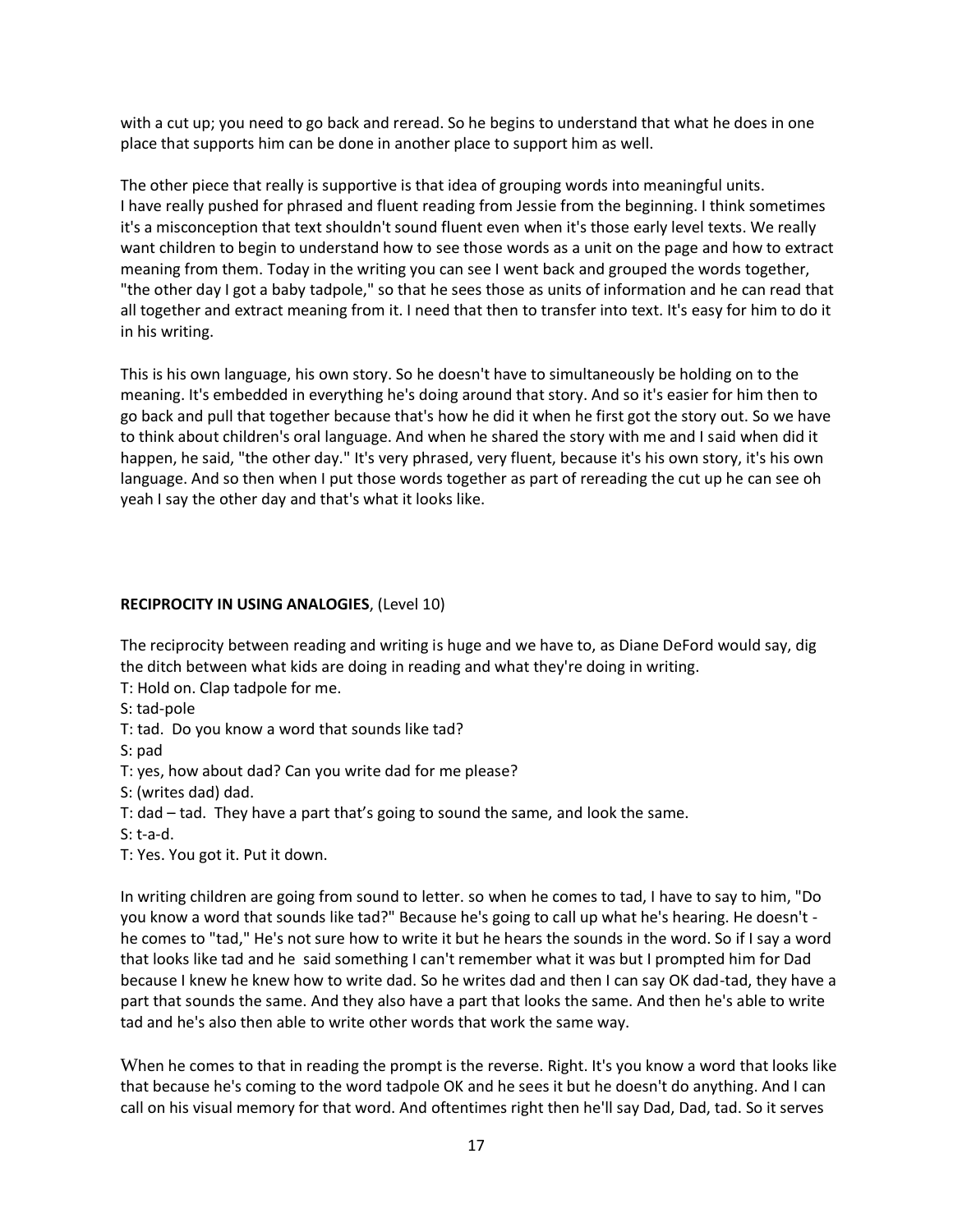with a cut up; you need to go back and reread. So he begins to understand that what he does in one place that supports him can be done in another place to support him as well.

The other piece that really is supportive is that idea of grouping words into meaningful units. I have really pushed for phrased and fluent reading from Jessie from the beginning. I think sometimes it's a misconception that text shouldn't sound fluent even when it's those early level texts. We really want children to begin to understand how to see those words as a unit on the page and how to extract meaning from them. Today in the writing you can see I went back and grouped the words together, "the other day I got a baby tadpole," so that he sees those as units of information and he can read that all together and extract meaning from it. I need that then to transfer into text. It's easy for him to do it in his writing.

This is his own language, his own story. So he doesn't have to simultaneously be holding on to the meaning. It's embedded in everything he's doing around that story. And so it's easier for him then to go back and pull that together because that's how he did it when he first got the story out. So we have to think about children's oral language. And when he shared the story with me and I said when did it happen, he said, "the other day." It's very phrased, very fluent, because it's his own story, it's his own language. And so then when I put those words together as part of rereading the cut up he can see oh yeah I say the other day and that's what it looks like.

#### **RECIPROCITY IN USING ANALOGIES**, (Level 10)

The reciprocity between reading and writing is huge and we have to, as Diane DeFord would say, dig the ditch between what kids are doing in reading and what they're doing in writing.

T: Hold on. Clap tadpole for me.

S: tad-pole

T: tad. Do you know a word that sounds like tad?

S: pad

T: yes, how about dad? Can you write dad for me please?

S: (writes dad) dad.

T: dad – tad. They have a part that's going to sound the same, and look the same.

S: t-a-d.

T: Yes. You got it. Put it down.

In writing children are going from sound to letter. so when he comes to tad, I have to say to him, "Do you know a word that sounds like tad?" Because he's going to call up what he's hearing. He doesn't he comes to "tad," He's not sure how to write it but he hears the sounds in the word. So if I say a word that looks like tad and he said something I can't remember what it was but I prompted him for Dad because I knew he knew how to write dad. So he writes dad and then I can say OK dad-tad, they have a part that sounds the same. And they also have a part that looks the same. And then he's able to write tad and he's also then able to write other words that work the same way.

When he comes to that in reading the prompt is the reverse. Right. It's you know a word that looks like that because he's coming to the word tadpole OK and he sees it but he doesn't do anything. And I can call on his visual memory for that word. And oftentimes right then he'll say Dad, Dad, tad. So it serves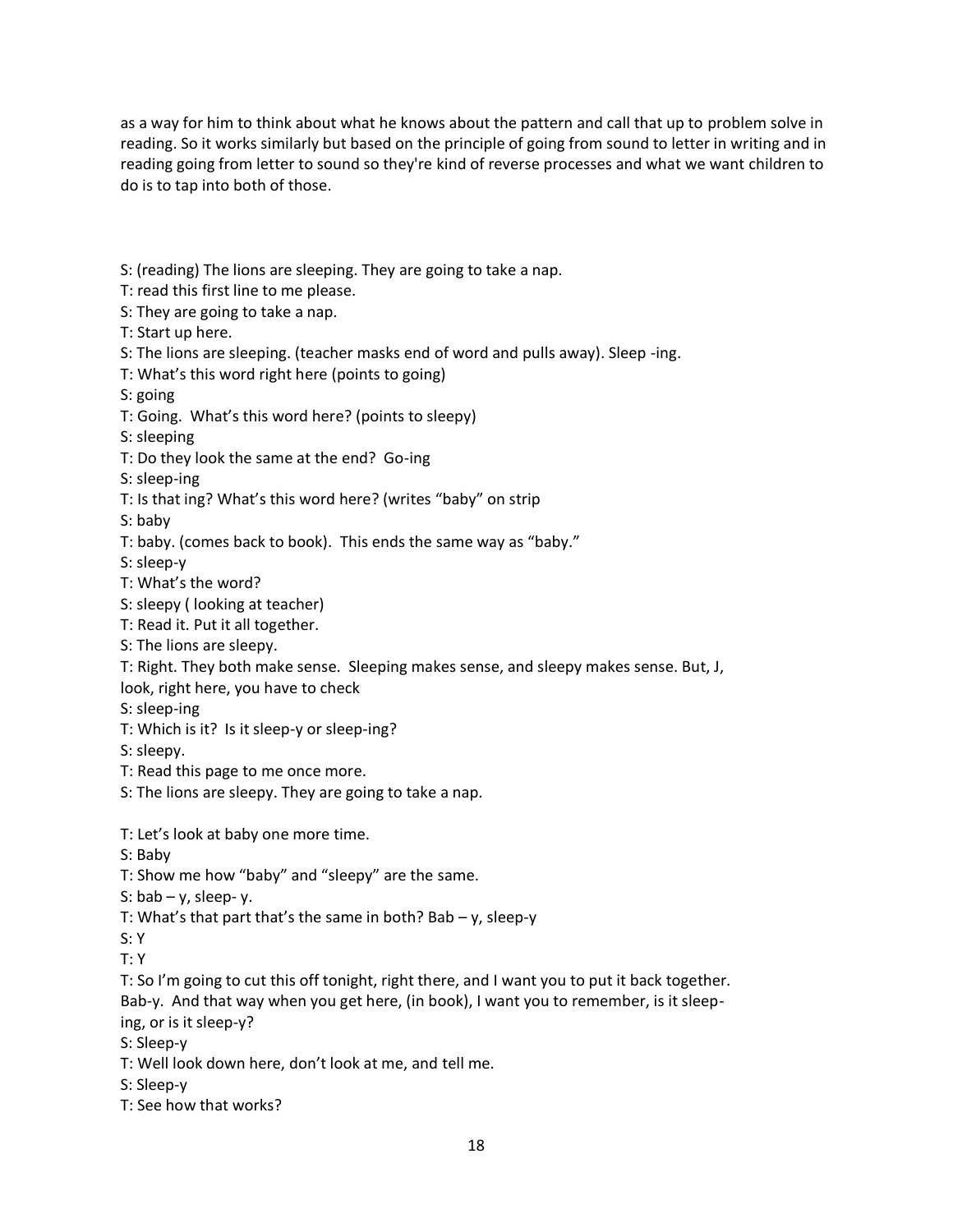as a way for him to think about what he knows about the pattern and call that up to problem solve in reading. So it works similarly but based on the principle of going from sound to letter in writing and in reading going from letter to sound so they're kind of reverse processes and what we want children to do is to tap into both of those.

- S: (reading) The lions are sleeping. They are going to take a nap.
- T: read this first line to me please.
- S: They are going to take a nap.
- T: Start up here.
- S: The lions are sleeping. (teacher masks end of word and pulls away). Sleep -ing.
- T: What's this word right here (points to going)
- S: going
- T: Going. What's this word here? (points to sleepy)
- S: sleeping
- T: Do they look the same at the end? Go-ing
- S: sleep-ing
- T: Is that ing? What's this word here? (writes "baby" on strip
- S: baby
- T: baby. (comes back to book). This ends the same way as "baby."
- S: sleep-y
- T: What's the word?
- S: sleepy ( looking at teacher)
- T: Read it. Put it all together.
- S: The lions are sleepy.
- T: Right. They both make sense. Sleeping makes sense, and sleepy makes sense. But, J,
- look, right here, you have to check
- S: sleep-ing
- T: Which is it? Is it sleep-y or sleep-ing?
- S: sleepy.
- T: Read this page to me once more.
- S: The lions are sleepy. They are going to take a nap.
- T: Let's look at baby one more time.
- S: Baby
- T: Show me how "baby" and "sleepy" are the same.
- S:  $bab y$ , sleep-y.
- T: What's that part that's the same in both? Bab y, sleep-y
- S: Y
- T: Y
- T: So I'm going to cut this off tonight, right there, and I want you to put it back together. Bab-y. And that way when you get here, (in book), I want you to remember, is it sleep-
- ing, or is it sleep-y?
- S: Sleep-y
- T: Well look down here, don't look at me, and tell me.
- S: Sleep-y
- T: See how that works?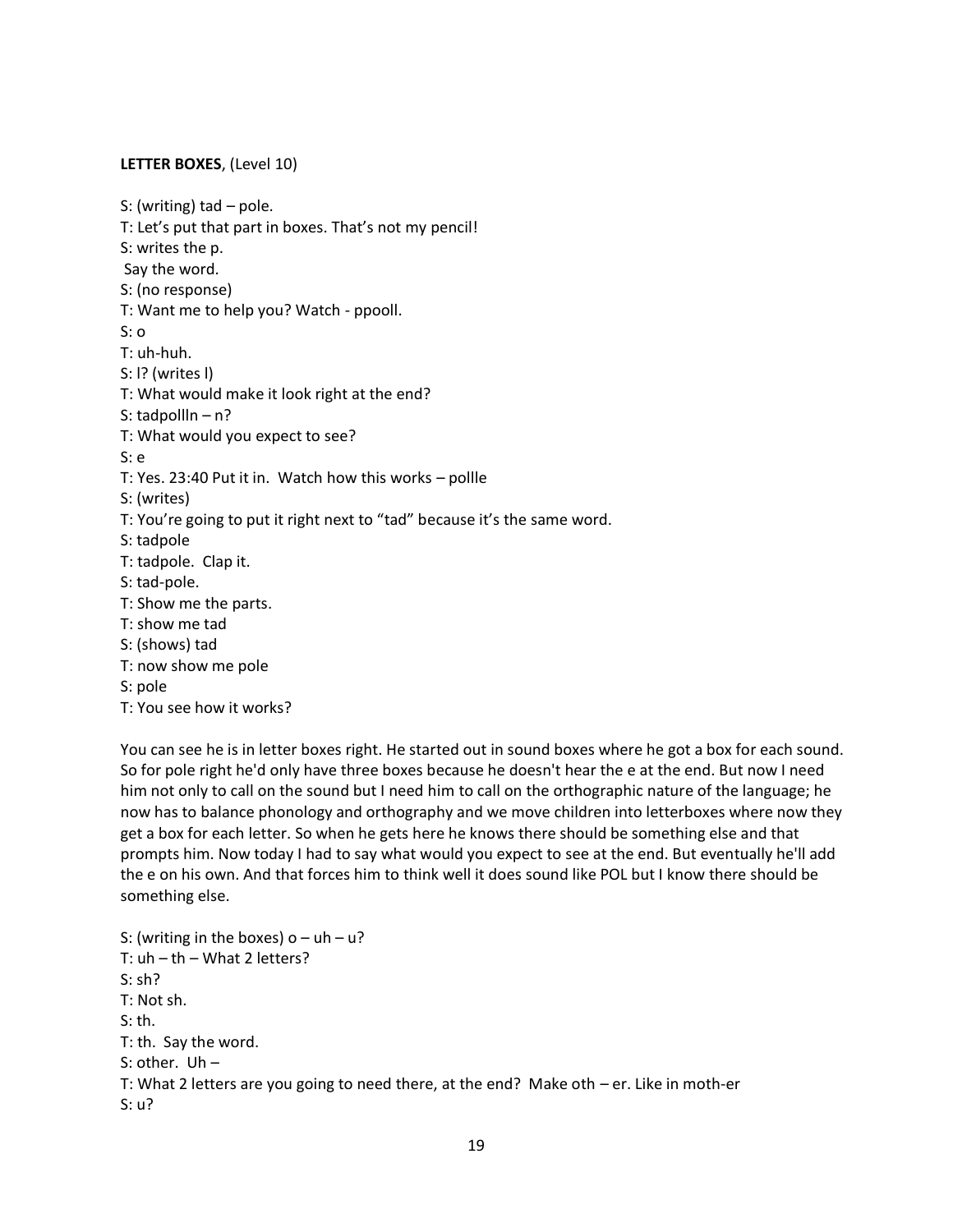#### **LETTER BOXES**, (Level 10)

S: (writing) tad – pole. T: Let's put that part in boxes. That's not my pencil! S: writes the p. Say the word. S: (no response) T: Want me to help you? Watch - ppooll. S: o T: uh-huh. S: l? (writes l) T: What would make it look right at the end? S: tadpollln – n? T: What would you expect to see? S: e T: Yes. 23:40 Put it in. Watch how this works – pollle S: (writes) T: You're going to put it right next to "tad" because it's the same word. S: tadpole T: tadpole. Clap it. S: tad-pole. T: Show me the parts. T: show me tad S: (shows) tad T: now show me pole S: pole T: You see how it works?

You can see he is in letter boxes right. He started out in sound boxes where he got a box for each sound. So for pole right he'd only have three boxes because he doesn't hear the e at the end. But now I need him not only to call on the sound but I need him to call on the orthographic nature of the language; he now has to balance phonology and orthography and we move children into letterboxes where now they get a box for each letter. So when he gets here he knows there should be something else and that prompts him. Now today I had to say what would you expect to see at the end. But eventually he'll add the e on his own. And that forces him to think well it does sound like POL but I know there should be something else.

S: (writing in the boxes)  $o - uh - u$ ? T:  $uh - th - What 2 letters?$ S: sh? T: Not sh. S: th. T: th. Say the word. S: other. Uh – T: What 2 letters are you going to need there, at the end? Make oth – er. Like in moth-er S: u?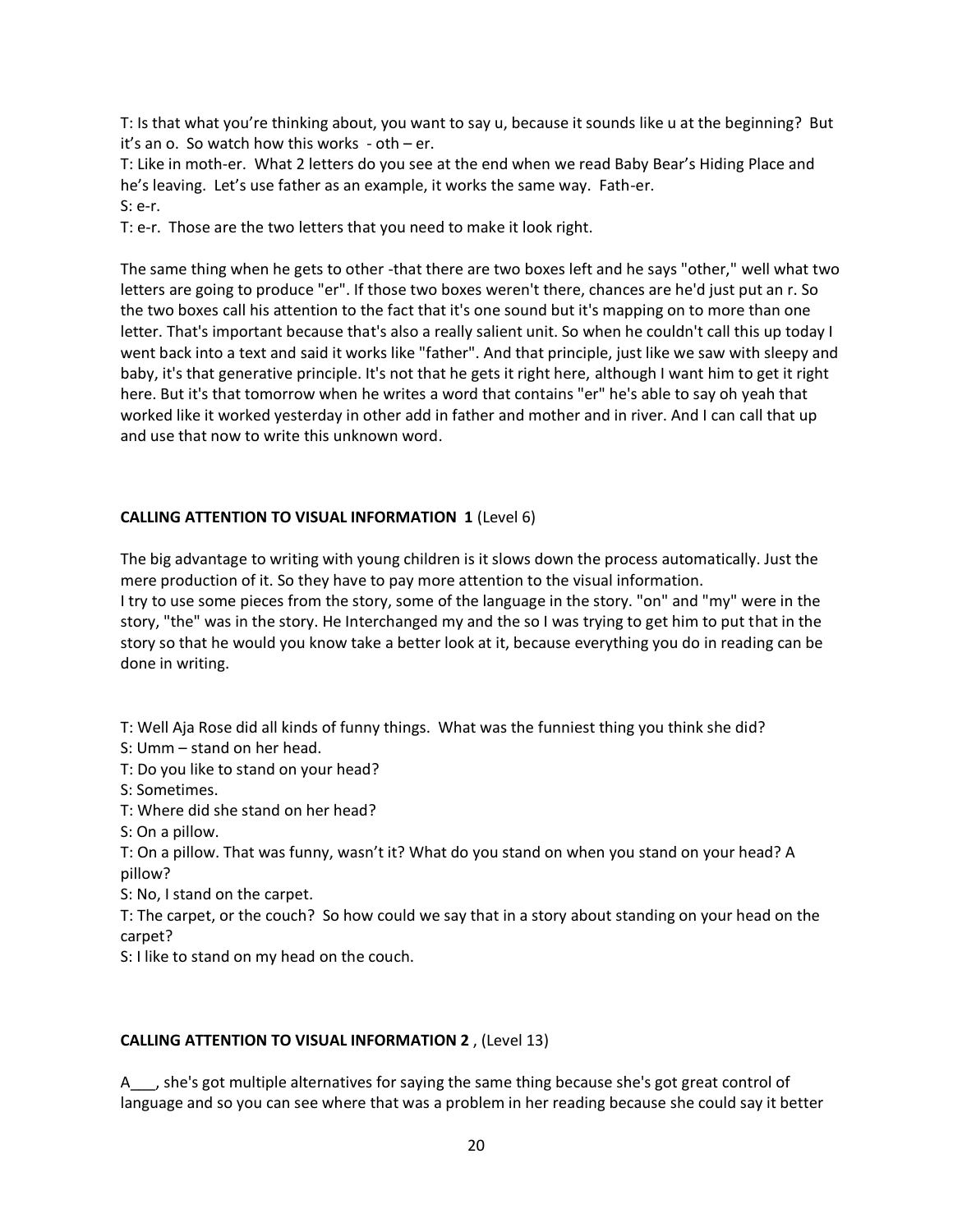T: Is that what you're thinking about, you want to say u, because it sounds like u at the beginning? But it's an o. So watch how this works - oth – er.

T: Like in moth-er. What 2 letters do you see at the end when we read Baby Bear's Hiding Place and he's leaving. Let's use father as an example, it works the same way. Fath-er. S: e-r.

T: e-r. Those are the two letters that you need to make it look right.

The same thing when he gets to other -that there are two boxes left and he says "other," well what two letters are going to produce "er". If those two boxes weren't there, chances are he'd just put an r. So the two boxes call his attention to the fact that it's one sound but it's mapping on to more than one letter. That's important because that's also a really salient unit. So when he couldn't call this up today I went back into a text and said it works like "father". And that principle, just like we saw with sleepy and baby, it's that generative principle. It's not that he gets it right here, although I want him to get it right here. But it's that tomorrow when he writes a word that contains "er" he's able to say oh yeah that worked like it worked yesterday in other add in father and mother and in river. And I can call that up and use that now to write this unknown word.

### **CALLING ATTENTION TO VISUAL INFORMATION 1** (Level 6)

The big advantage to writing with young children is it slows down the process automatically. Just the mere production of it. So they have to pay more attention to the visual information. I try to use some pieces from the story, some of the language in the story. "on" and "my" were in the story, "the" was in the story. He Interchanged my and the so I was trying to get him to put that in the story so that he would you know take a better look at it, because everything you do in reading can be done in writing.

T: Well Aja Rose did all kinds of funny things. What was the funniest thing you think she did?

S: Umm – stand on her head.

T: Do you like to stand on your head?

S: Sometimes.

T: Where did she stand on her head?

S: On a pillow.

T: On a pillow. That was funny, wasn't it? What do you stand on when you stand on your head? A pillow?

S: No, I stand on the carpet.

T: The carpet, or the couch? So how could we say that in a story about standing on your head on the carpet?

S: I like to stand on my head on the couch.

## **CALLING ATTENTION TO VISUAL INFORMATION 2** , (Level 13)

A\_\_\_, she's got multiple alternatives for saying the same thing because she's got great control of language and so you can see where that was a problem in her reading because she could say it better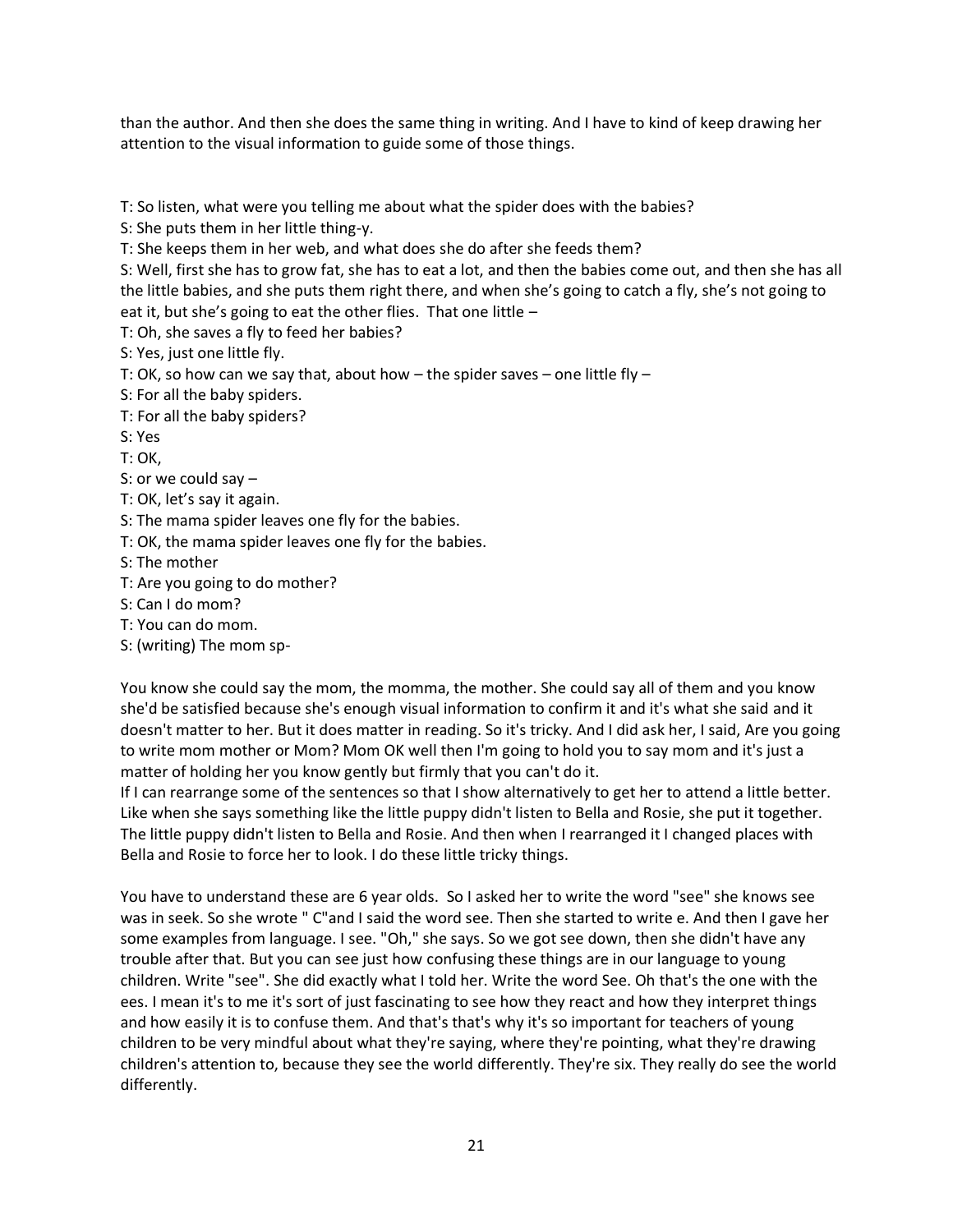than the author. And then she does the same thing in writing. And I have to kind of keep drawing her attention to the visual information to guide some of those things.

T: So listen, what were you telling me about what the spider does with the babies?

S: She puts them in her little thing-y.

T: She keeps them in her web, and what does she do after she feeds them?

S: Well, first she has to grow fat, she has to eat a lot, and then the babies come out, and then she has all the little babies, and she puts them right there, and when she's going to catch a fly, she's not going to eat it, but she's going to eat the other flies. That one little –

T: Oh, she saves a fly to feed her babies?

S: Yes, just one little fly.

T: OK, so how can we say that, about how – the spider saves – one little fly –

S: For all the baby spiders.

T: For all the baby spiders?

S: Yes

T: OK,

S: or we could say –

T: OK, let's say it again.

S: The mama spider leaves one fly for the babies.

T: OK, the mama spider leaves one fly for the babies.

S: The mother

T: Are you going to do mother?

S: Can I do mom?

T: You can do mom.

S: (writing) The mom sp-

You know she could say the mom, the momma, the mother. She could say all of them and you know she'd be satisfied because she's enough visual information to confirm it and it's what she said and it doesn't matter to her. But it does matter in reading. So it's tricky. And I did ask her, I said, Are you going to write mom mother or Mom? Mom OK well then I'm going to hold you to say mom and it's just a matter of holding her you know gently but firmly that you can't do it.

If I can rearrange some of the sentences so that I show alternatively to get her to attend a little better. Like when she says something like the little puppy didn't listen to Bella and Rosie, she put it together. The little puppy didn't listen to Bella and Rosie. And then when I rearranged it I changed places with Bella and Rosie to force her to look. I do these little tricky things.

You have to understand these are 6 year olds. So I asked her to write the word "see" she knows see was in seek. So she wrote " C"and I said the word see. Then she started to write e. And then I gave her some examples from language. I see. "Oh," she says. So we got see down, then she didn't have any trouble after that. But you can see just how confusing these things are in our language to young children. Write "see". She did exactly what I told her. Write the word See. Oh that's the one with the ees. I mean it's to me it's sort of just fascinating to see how they react and how they interpret things and how easily it is to confuse them. And that's that's why it's so important for teachers of young children to be very mindful about what they're saying, where they're pointing, what they're drawing children's attention to, because they see the world differently. They're six. They really do see the world differently.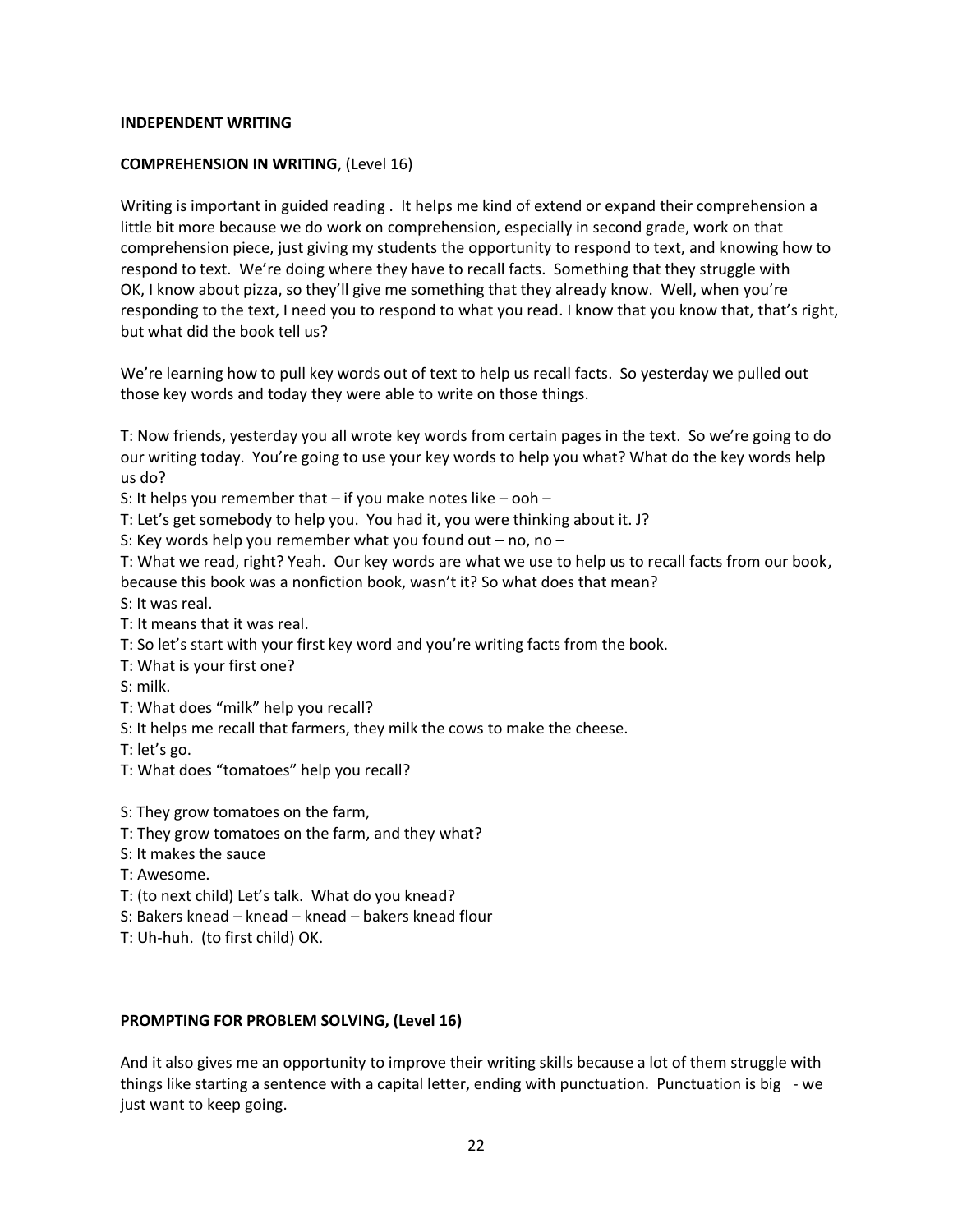#### **INDEPENDENT WRITING**

#### **COMPREHENSION IN WRITING**, (Level 16)

Writing is important in guided reading . It helps me kind of extend or expand their comprehension a little bit more because we do work on comprehension, especially in second grade, work on that comprehension piece, just giving my students the opportunity to respond to text, and knowing how to respond to text. We're doing where they have to recall facts. Something that they struggle with OK, I know about pizza, so they'll give me something that they already know. Well, when you're responding to the text, I need you to respond to what you read. I know that you know that, that's right, but what did the book tell us?

We're learning how to pull key words out of text to help us recall facts. So yesterday we pulled out those key words and today they were able to write on those things.

T: Now friends, yesterday you all wrote key words from certain pages in the text. So we're going to do our writing today. You're going to use your key words to help you what? What do the key words help us do?

S: It helps you remember that  $-$  if you make notes like  $-$  ooh  $-$ 

T: Let's get somebody to help you. You had it, you were thinking about it. J?

S: Key words help you remember what you found out  $-$  no, no  $-$ 

T: What we read, right? Yeah. Our key words are what we use to help us to recall facts from our book, because this book was a nonfiction book, wasn't it? So what does that mean?

S: It was real.

T: It means that it was real.

T: So let's start with your first key word and you're writing facts from the book.

T: What is your first one?

S: milk.

- T: What does "milk" help you recall?
- S: It helps me recall that farmers, they milk the cows to make the cheese.

T: let's go.

T: What does "tomatoes" help you recall?

S: They grow tomatoes on the farm,

T: They grow tomatoes on the farm, and they what?

- S: It makes the sauce
- T: Awesome.
- T: (to next child) Let's talk. What do you knead?
- S: Bakers knead knead knead bakers knead flour
- T: Uh-huh. (to first child) OK.

#### **PROMPTING FOR PROBLEM SOLVING, (Level 16)**

And it also gives me an opportunity to improve their writing skills because a lot of them struggle with things like starting a sentence with a capital letter, ending with punctuation. Punctuation is big - we just want to keep going.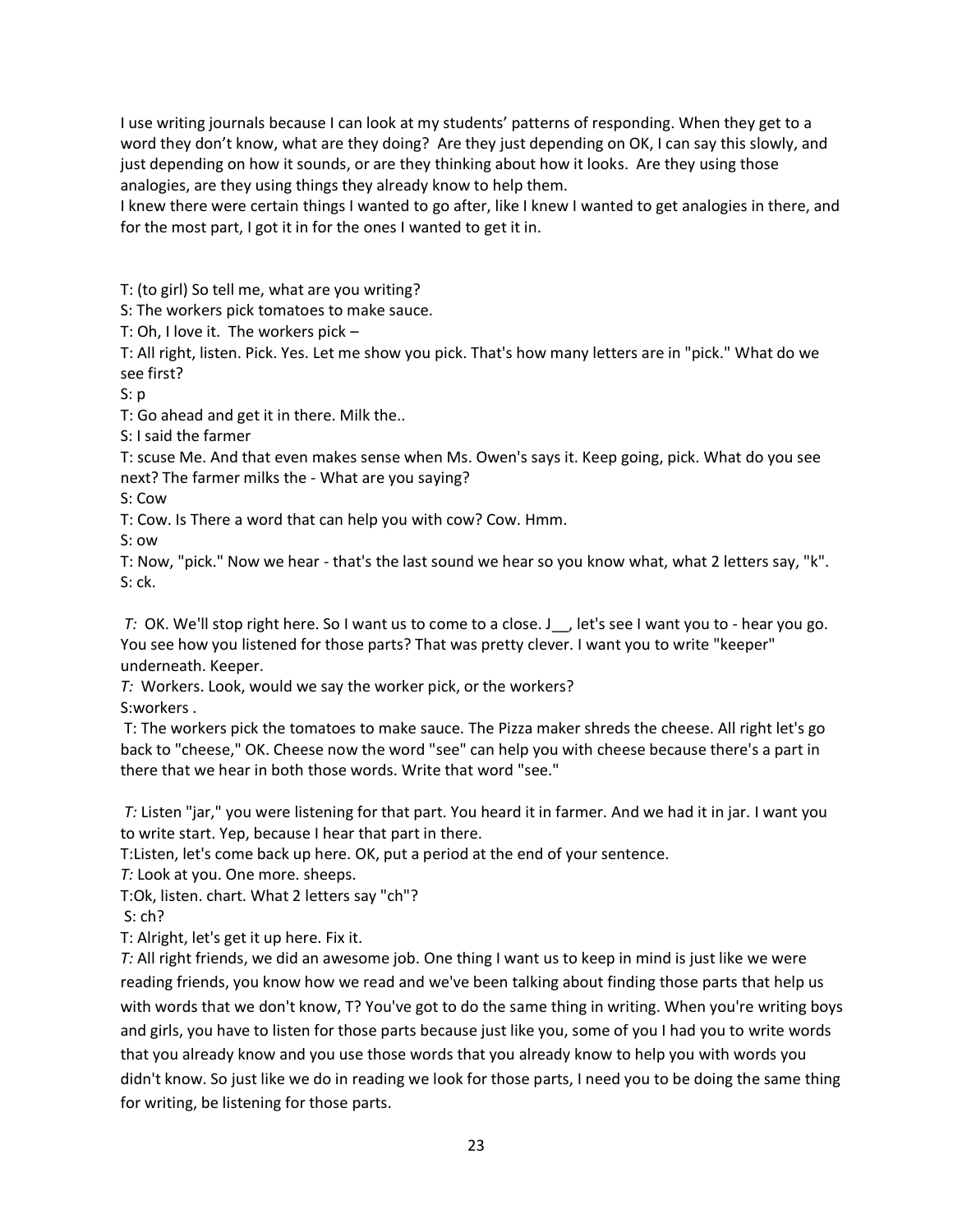I use writing journals because I can look at my students' patterns of responding. When they get to a word they don't know, what are they doing? Are they just depending on OK, I can say this slowly, and just depending on how it sounds, or are they thinking about how it looks. Are they using those analogies, are they using things they already know to help them.

I knew there were certain things I wanted to go after, like I knew I wanted to get analogies in there, and for the most part, I got it in for the ones I wanted to get it in.

T: (to girl) So tell me, what are you writing?

S: The workers pick tomatoes to make sauce.

T: Oh, I love it. The workers pick –

T: All right, listen. Pick. Yes. Let me show you pick. That's how many letters are in "pick." What do we see first?

S: p

T: Go ahead and get it in there. Milk the..

S: I said the farmer

T: scuse Me. And that even makes sense when Ms. Owen's says it. Keep going, pick. What do you see next? The farmer milks the - What are you saying?

S: Cow

T: Cow. Is There a word that can help you with cow? Cow. Hmm.

S: ow

T: Now, "pick." Now we hear - that's the last sound we hear so you know what, what 2 letters say, "k". S: ck.

*T:* OK. We'll stop right here. So I want us to come to a close. J\_, let's see I want you to - hear you go. You see how you listened for those parts? That was pretty clever. I want you to write "keeper" underneath. Keeper.

*T:* Workers. Look, would we say the worker pick, or the workers? S:workers .

T: The workers pick the tomatoes to make sauce. The Pizza maker shreds the cheese. All right let's go back to "cheese," OK. Cheese now the word "see" can help you with cheese because there's a part in there that we hear in both those words. Write that word "see."

*T:* Listen "jar," you were listening for that part. You heard it in farmer. And we had it in jar. I want you to write start. Yep, because I hear that part in there.

T:Listen, let's come back up here. OK, put a period at the end of your sentence.

*T:* Look at you. One more. sheeps.

T:Ok, listen. chart. What 2 letters say "ch"?

S: ch?

T: Alright, let's get it up here. Fix it.

*T:* All right friends, we did an awesome job. One thing I want us to keep in mind is just like we were reading friends, you know how we read and we've been talking about finding those parts that help us with words that we don't know, T? You've got to do the same thing in writing. When you're writing boys and girls, you have to listen for those parts because just like you, some of you I had you to write words that you already know and you use those words that you already know to help you with words you didn't know. So just like we do in reading we look for those parts, I need you to be doing the same thing for writing, be listening for those parts.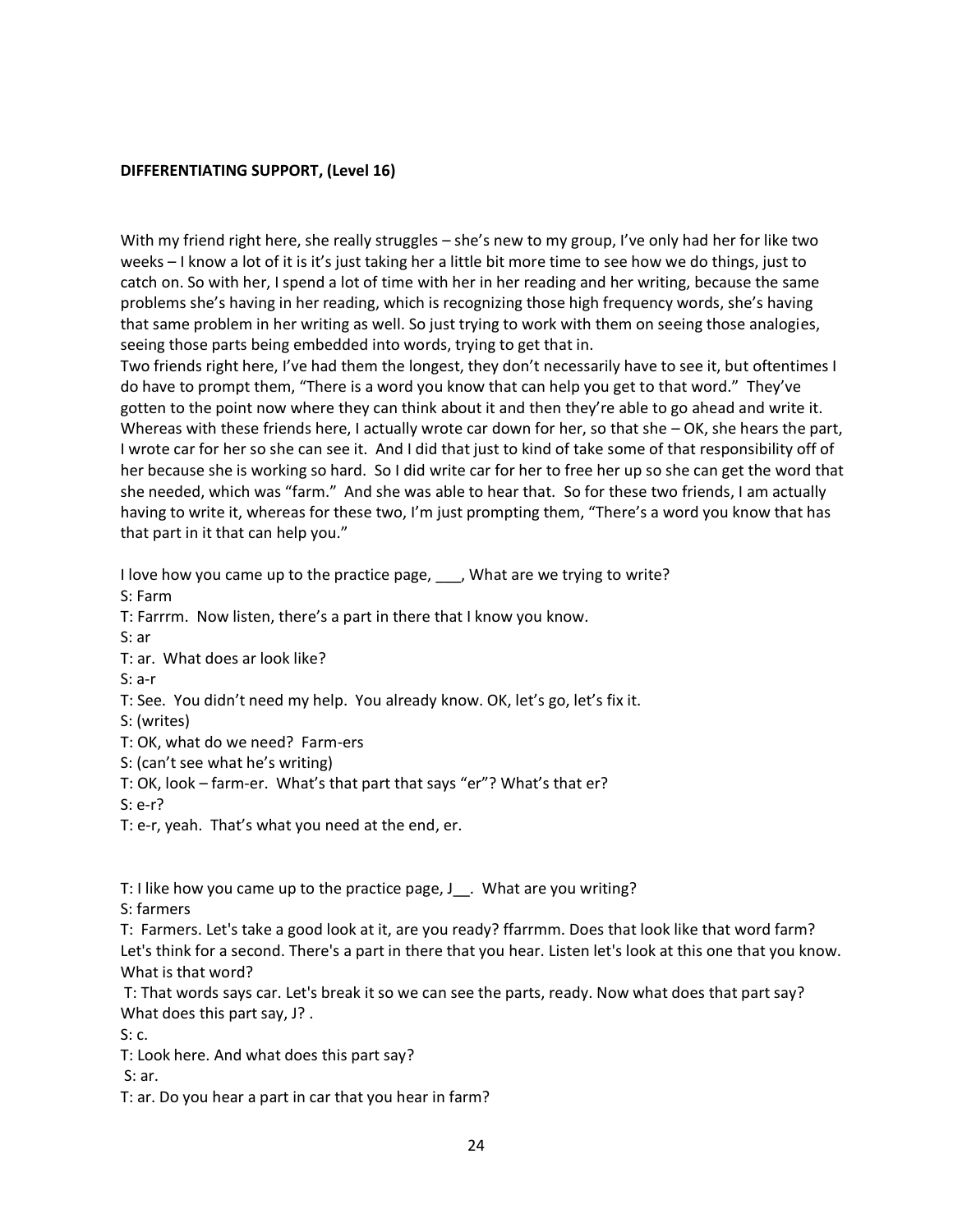#### **DIFFERENTIATING SUPPORT, (Level 16)**

With my friend right here, she really struggles – she's new to my group, I've only had her for like two weeks – I know a lot of it is it's just taking her a little bit more time to see how we do things, just to catch on. So with her, I spend a lot of time with her in her reading and her writing, because the same problems she's having in her reading, which is recognizing those high frequency words, she's having that same problem in her writing as well. So just trying to work with them on seeing those analogies, seeing those parts being embedded into words, trying to get that in.

Two friends right here, I've had them the longest, they don't necessarily have to see it, but oftentimes I do have to prompt them, "There is a word you know that can help you get to that word." They've gotten to the point now where they can think about it and then they're able to go ahead and write it. Whereas with these friends here, I actually wrote car down for her, so that she - OK, she hears the part, I wrote car for her so she can see it. And I did that just to kind of take some of that responsibility off of her because she is working so hard. So I did write car for her to free her up so she can get the word that she needed, which was "farm." And she was able to hear that. So for these two friends, I am actually having to write it, whereas for these two, I'm just prompting them, "There's a word you know that has that part in it that can help you."

I love how you came up to the practice page, Ally what are we trying to write? S: Farm T: Farrrm. Now listen, there's a part in there that I know you know. S: ar T: ar. What does ar look like? S: a-r T: See. You didn't need my help. You already know. OK, let's go, let's fix it. S: (writes) T: OK, what do we need? Farm-ers S: (can't see what he's writing) T: OK, look – farm-er. What's that part that says "er"? What's that er? S: e-r? T: e-r, yeah. That's what you need at the end, er.

T: I like how you came up to the practice page, J\_\_. What are you writing?

S: farmers

T: Farmers. Let's take a good look at it, are you ready? ffarrmm. Does that look like that word farm? Let's think for a second. There's a part in there that you hear. Listen let's look at this one that you know. What is that word?

T: That words says car. Let's break it so we can see the parts, ready. Now what does that part say? What does this part say, J? .

S: c.

T: Look here. And what does this part say?

S: ar.

T: ar. Do you hear a part in car that you hear in farm?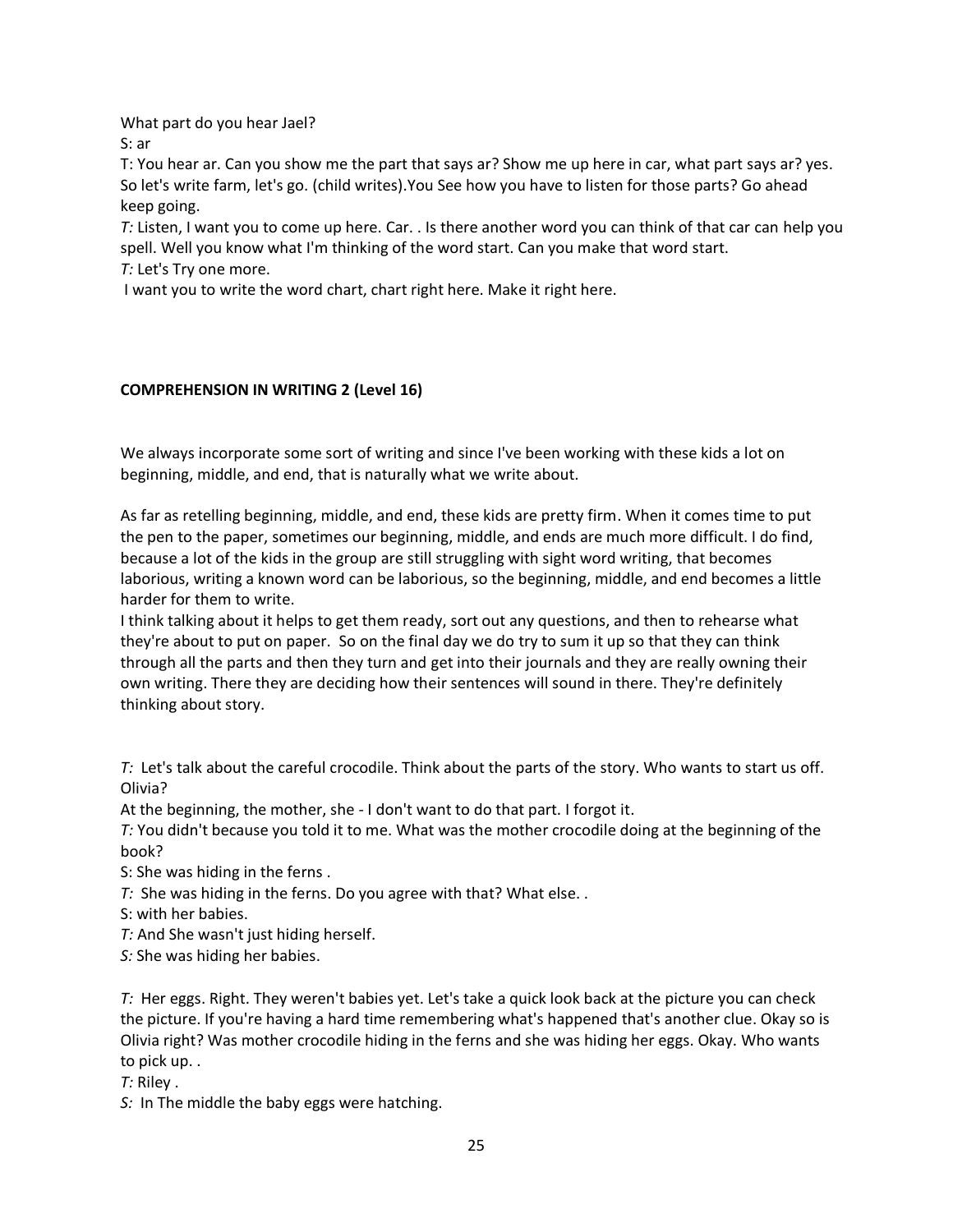What part do you hear Jael?

S: ar

T: You hear ar. Can you show me the part that says ar? Show me up here in car, what part says ar? yes. So let's write farm, let's go. (child writes).You See how you have to listen for those parts? Go ahead keep going.

*T:* Listen, I want you to come up here. Car. . Is there another word you can think of that car can help you spell. Well you know what I'm thinking of the word start. Can you make that word start. *T:* Let's Try one more.

I want you to write the word chart, chart right here. Make it right here.

## **COMPREHENSION IN WRITING 2 (Level 16)**

We always incorporate some sort of writing and since I've been working with these kids a lot on beginning, middle, and end, that is naturally what we write about.

As far as retelling beginning, middle, and end, these kids are pretty firm. When it comes time to put the pen to the paper, sometimes our beginning, middle, and ends are much more difficult. I do find, because a lot of the kids in the group are still struggling with sight word writing, that becomes laborious, writing a known word can be laborious, so the beginning, middle, and end becomes a little harder for them to write.

I think talking about it helps to get them ready, sort out any questions, and then to rehearse what they're about to put on paper. So on the final day we do try to sum it up so that they can think through all the parts and then they turn and get into their journals and they are really owning their own writing. There they are deciding how their sentences will sound in there. They're definitely thinking about story.

*T:* Let's talk about the careful crocodile. Think about the parts of the story. Who wants to start us off. Olivia?

At the beginning, the mother, she - I don't want to do that part. I forgot it.

*T:* You didn't because you told it to me. What was the mother crocodile doing at the beginning of the book?

S: She was hiding in the ferns .

*T:* She was hiding in the ferns. Do you agree with that? What else. .

S: with her babies.

*T:* And She wasn't just hiding herself.

*S:* She was hiding her babies.

*T:* Her eggs. Right. They weren't babies yet. Let's take a quick look back at the picture you can check the picture. If you're having a hard time remembering what's happened that's another clue. Okay so is Olivia right? Was mother crocodile hiding in the ferns and she was hiding her eggs. Okay. Who wants to pick up. .

*T:* Riley .

*S:* In The middle the baby eggs were hatching.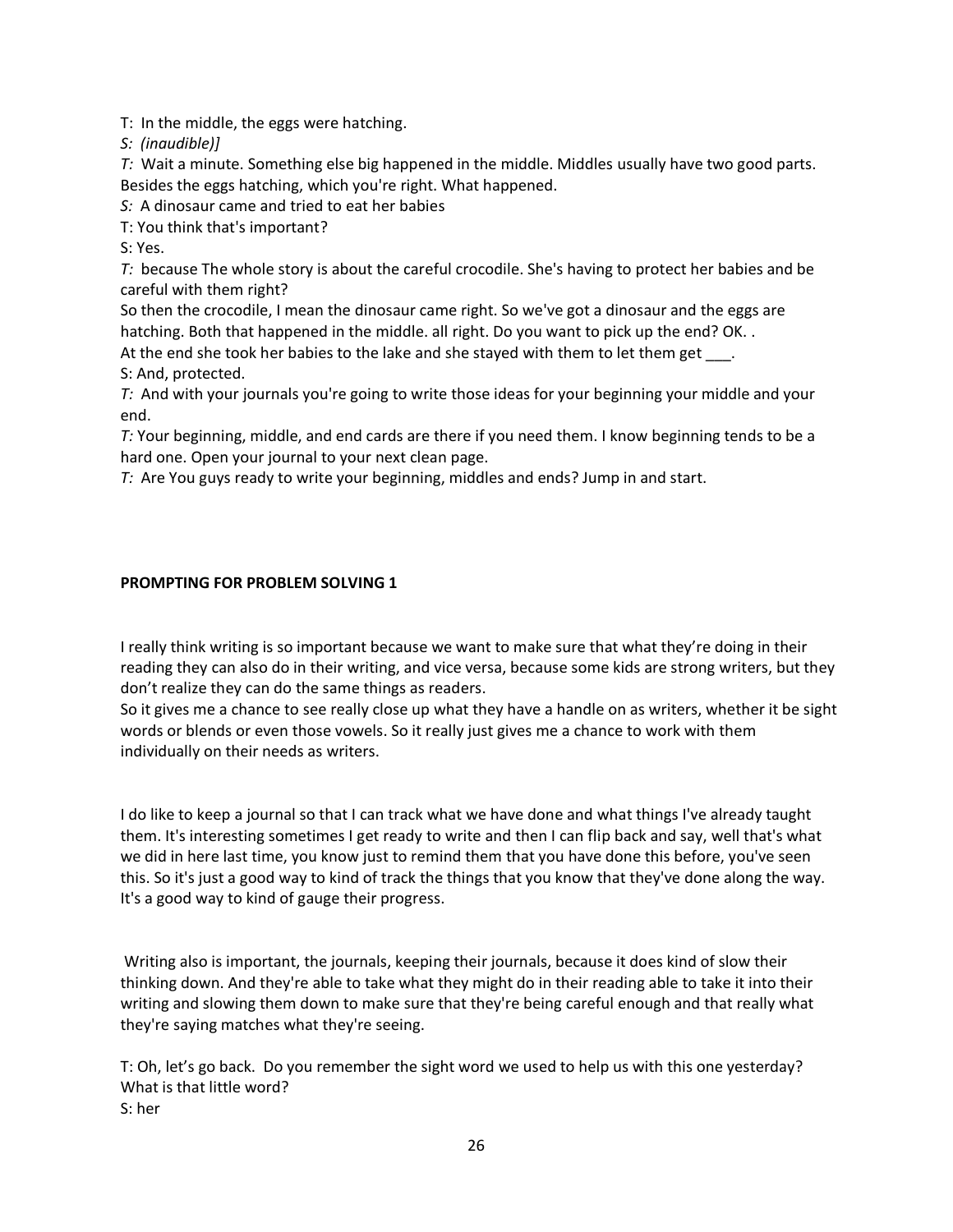T: In the middle, the eggs were hatching.

*S: (inaudible)]*

*T:* Wait a minute. Something else big happened in the middle. Middles usually have two good parts. Besides the eggs hatching, which you're right. What happened.

*S:* A dinosaur came and tried to eat her babies

T: You think that's important?

S: Yes.

*T:* because The whole story is about the careful crocodile. She's having to protect her babies and be careful with them right?

So then the crocodile, I mean the dinosaur came right. So we've got a dinosaur and the eggs are hatching. Both that happened in the middle. all right. Do you want to pick up the end? OK..

At the end she took her babies to the lake and she stayed with them to let them get . S: And, protected.

*T:* And with your journals you're going to write those ideas for your beginning your middle and your end.

*T:* Your beginning, middle, and end cards are there if you need them. I know beginning tends to be a hard one. Open your journal to your next clean page.

*T:* Are You guys ready to write your beginning, middles and ends? Jump in and start.

### **PROMPTING FOR PROBLEM SOLVING 1**

I really think writing is so important because we want to make sure that what they're doing in their reading they can also do in their writing, and vice versa, because some kids are strong writers, but they don't realize they can do the same things as readers.

So it gives me a chance to see really close up what they have a handle on as writers, whether it be sight words or blends or even those vowels. So it really just gives me a chance to work with them individually on their needs as writers.

I do like to keep a journal so that I can track what we have done and what things I've already taught them. It's interesting sometimes I get ready to write and then I can flip back and say, well that's what we did in here last time, you know just to remind them that you have done this before, you've seen this. So it's just a good way to kind of track the things that you know that they've done along the way. It's a good way to kind of gauge their progress.

Writing also is important, the journals, keeping their journals, because it does kind of slow their thinking down. And they're able to take what they might do in their reading able to take it into their writing and slowing them down to make sure that they're being careful enough and that really what they're saying matches what they're seeing.

T: Oh, let's go back. Do you remember the sight word we used to help us with this one yesterday? What is that little word? S: her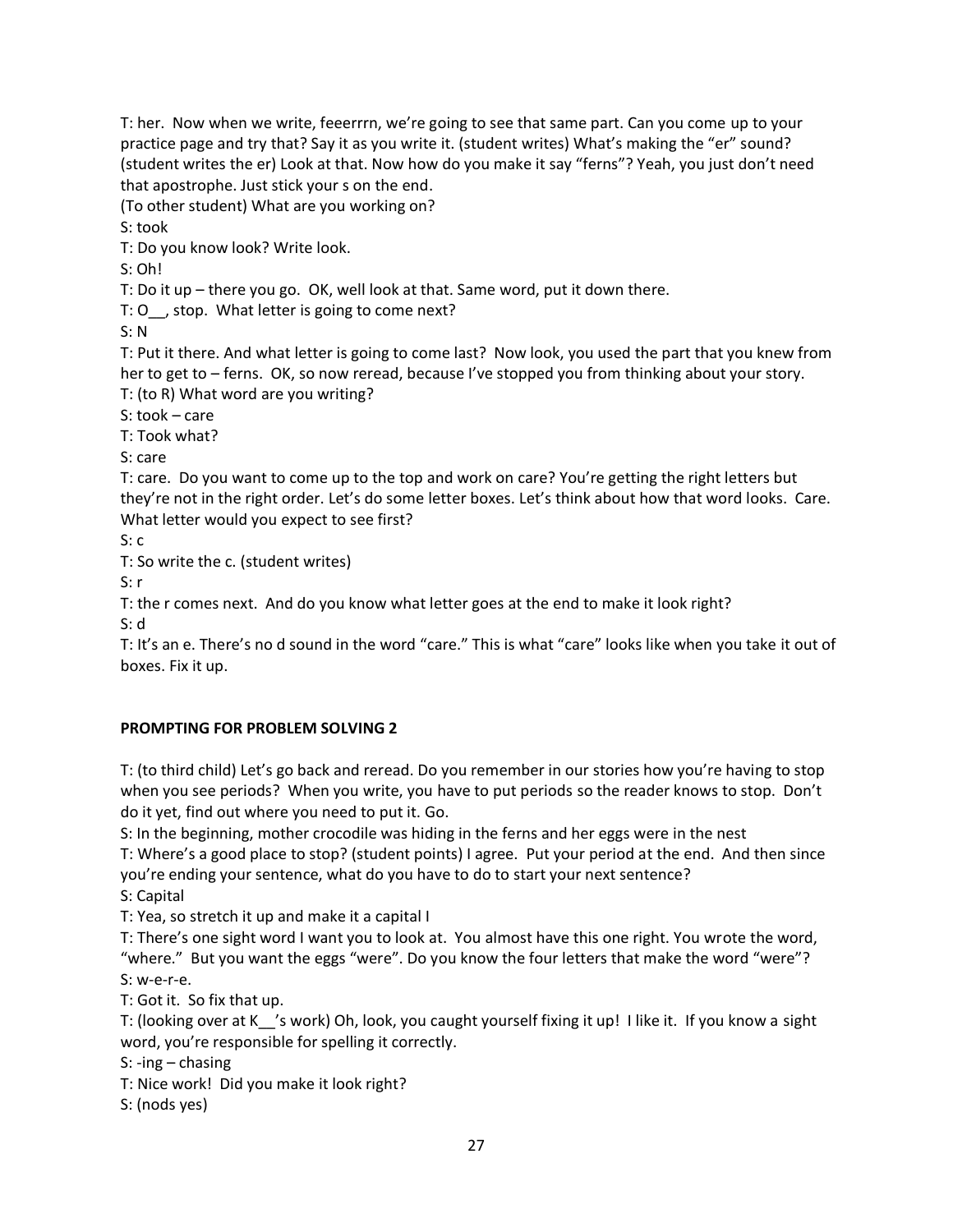T: her. Now when we write, feeerrrn, we're going to see that same part. Can you come up to your practice page and try that? Say it as you write it. (student writes) What's making the "er" sound? (student writes the er) Look at that. Now how do you make it say "ferns"? Yeah, you just don't need that apostrophe. Just stick your s on the end.

(To other student) What are you working on?

S: took

T: Do you know look? Write look.

S: Oh!

T: Do it up – there you go. OK, well look at that. Same word, put it down there.

T: O , stop. What letter is going to come next?

S: N

T: Put it there. And what letter is going to come last? Now look, you used the part that you knew from her to get to – ferns. OK, so now reread, because I've stopped you from thinking about your story. T: (to R) What word are you writing?

S: took – care

T: Took what?

S: care

T: care. Do you want to come up to the top and work on care? You're getting the right letters but they're not in the right order. Let's do some letter boxes. Let's think about how that word looks. Care. What letter would you expect to see first?

S: c

T: So write the c. (student writes)

S: r

T: the r comes next. And do you know what letter goes at the end to make it look right?

S: d

T: It's an e. There's no d sound in the word "care." This is what "care" looks like when you take it out of boxes. Fix it up.

# **PROMPTING FOR PROBLEM SOLVING 2**

T: (to third child) Let's go back and reread. Do you remember in our stories how you're having to stop when you see periods? When you write, you have to put periods so the reader knows to stop. Don't do it yet, find out where you need to put it. Go.

S: In the beginning, mother crocodile was hiding in the ferns and her eggs were in the nest

T: Where's a good place to stop? (student points) I agree. Put your period at the end. And then since you're ending your sentence, what do you have to do to start your next sentence?

S: Capital

T: Yea, so stretch it up and make it a capital I

T: There's one sight word I want you to look at. You almost have this one right. You wrote the word, "where." But you want the eggs "were". Do you know the four letters that make the word "were"? S: w-e-r-e.

T: Got it. So fix that up.

T: (looking over at K\_\_'s work) Oh, look, you caught yourself fixing it up! I like it. If you know a sight word, you're responsible for spelling it correctly.

S: -ing – chasing

T: Nice work! Did you make it look right?

S: (nods yes)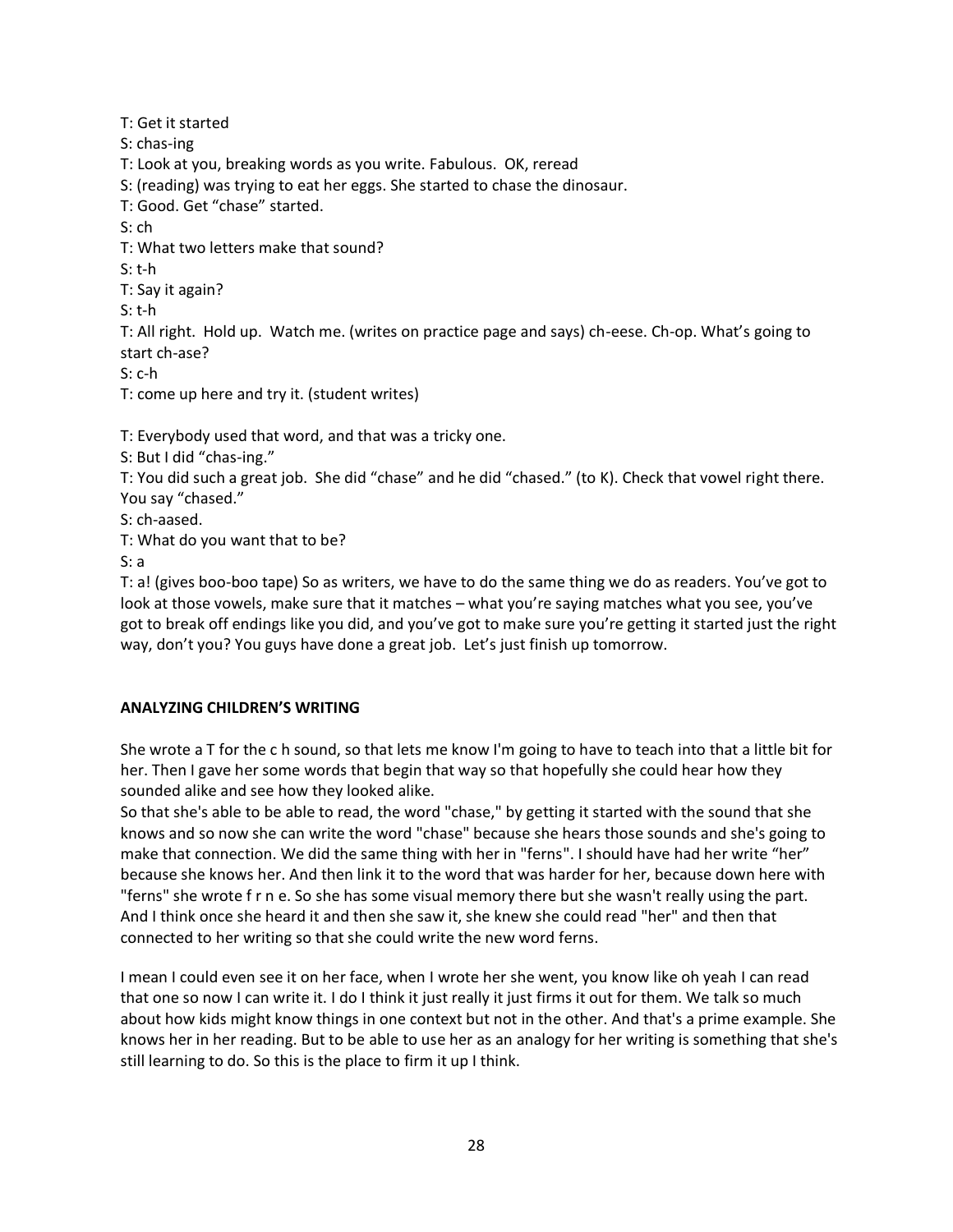T: Get it started

S: chas-ing

T: Look at you, breaking words as you write. Fabulous. OK, reread

S: (reading) was trying to eat her eggs. She started to chase the dinosaur.

T: Good. Get "chase" started.

S: ch

T: What two letters make that sound?

S: t-h

T: Say it again?

S: t-h

T: All right. Hold up. Watch me. (writes on practice page and says) ch-eese. Ch-op. What's going to start ch-ase?

S: c-h

T: come up here and try it. (student writes)

T: Everybody used that word, and that was a tricky one.

S: But I did "chas-ing."

T: You did such a great job. She did "chase" and he did "chased." (to K). Check that vowel right there. You say "chased."

S: ch-aased.

T: What do you want that to be?

S: a

T: a! (gives boo-boo tape) So as writers, we have to do the same thing we do as readers. You've got to look at those vowels, make sure that it matches – what you're saying matches what you see, you've got to break off endings like you did, and you've got to make sure you're getting it started just the right way, don't you? You guys have done a great job. Let's just finish up tomorrow.

## **ANALYZING CHILDREN'S WRITING**

She wrote a T for the c h sound, so that lets me know I'm going to have to teach into that a little bit for her. Then I gave her some words that begin that way so that hopefully she could hear how they sounded alike and see how they looked alike.

So that she's able to be able to read, the word "chase," by getting it started with the sound that she knows and so now she can write the word "chase" because she hears those sounds and she's going to make that connection. We did the same thing with her in "ferns". I should have had her write "her" because she knows her. And then link it to the word that was harder for her, because down here with "ferns" she wrote f r n e. So she has some visual memory there but she wasn't really using the part. And I think once she heard it and then she saw it, she knew she could read "her" and then that connected to her writing so that she could write the new word ferns.

I mean I could even see it on her face, when I wrote her she went, you know like oh yeah I can read that one so now I can write it. I do I think it just really it just firms it out for them. We talk so much about how kids might know things in one context but not in the other. And that's a prime example. She knows her in her reading. But to be able to use her as an analogy for her writing is something that she's still learning to do. So this is the place to firm it up I think.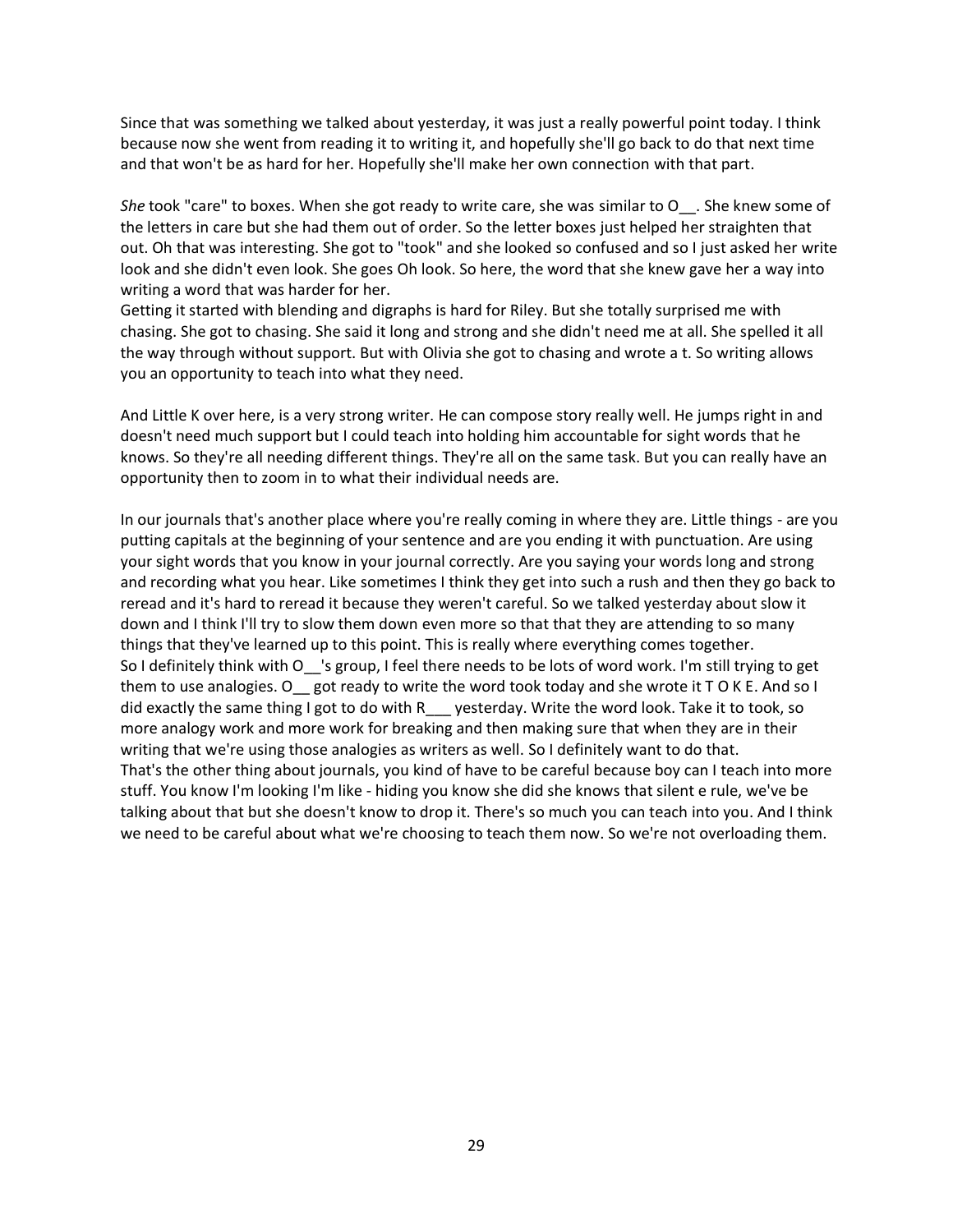Since that was something we talked about yesterday, it was just a really powerful point today. I think because now she went from reading it to writing it, and hopefully she'll go back to do that next time and that won't be as hard for her. Hopefully she'll make her own connection with that part.

*She* took "care" to boxes. When she got ready to write care, she was similar to O\_\_. She knew some of the letters in care but she had them out of order. So the letter boxes just helped her straighten that out. Oh that was interesting. She got to "took" and she looked so confused and so I just asked her write look and she didn't even look. She goes Oh look. So here, the word that she knew gave her a way into writing a word that was harder for her.

Getting it started with blending and digraphs is hard for Riley. But she totally surprised me with chasing. She got to chasing. She said it long and strong and she didn't need me at all. She spelled it all the way through without support. But with Olivia she got to chasing and wrote a t. So writing allows you an opportunity to teach into what they need.

And Little K over here, is a very strong writer. He can compose story really well. He jumps right in and doesn't need much support but I could teach into holding him accountable for sight words that he knows. So they're all needing different things. They're all on the same task. But you can really have an opportunity then to zoom in to what their individual needs are.

In our journals that's another place where you're really coming in where they are. Little things - are you putting capitals at the beginning of your sentence and are you ending it with punctuation. Are using your sight words that you know in your journal correctly. Are you saying your words long and strong and recording what you hear. Like sometimes I think they get into such a rush and then they go back to reread and it's hard to reread it because they weren't careful. So we talked yesterday about slow it down and I think I'll try to slow them down even more so that that they are attending to so many things that they've learned up to this point. This is really where everything comes together. So I definitely think with O\_\_'s group, I feel there needs to be lots of word work. I'm still trying to get them to use analogies. O got ready to write the word took today and she wrote it  $T O K E$ . And so I did exactly the same thing I got to do with  $R$  yesterday. Write the word look. Take it to took, so more analogy work and more work for breaking and then making sure that when they are in their writing that we're using those analogies as writers as well. So I definitely want to do that. That's the other thing about journals, you kind of have to be careful because boy can I teach into more stuff. You know I'm looking I'm like - hiding you know she did she knows that silent e rule, we've be talking about that but she doesn't know to drop it. There's so much you can teach into you. And I think we need to be careful about what we're choosing to teach them now. So we're not overloading them.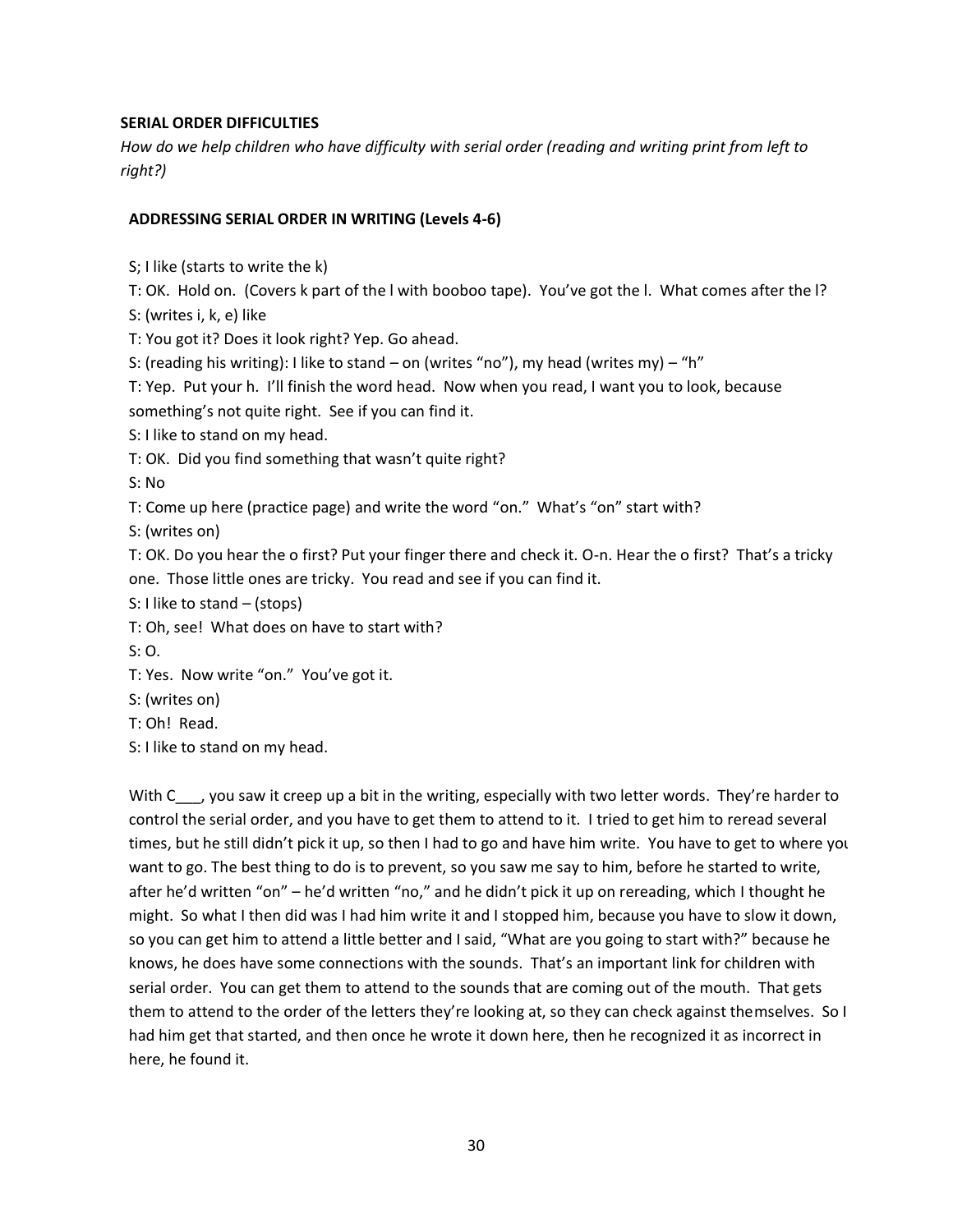#### **SERIAL ORDER DIFFICULTIES**

*How do we help children who have difficulty with serial order (reading and writing print from left to right?)*

### **ADDRESSING SERIAL ORDER IN WRITING (Levels 4-6)**

S; I like (starts to write the k)

T: OK. Hold on. (Covers k part of the l with booboo tape). You've got the l. What comes after the l?

S: (writes i, k, e) like

T: You got it? Does it look right? Yep. Go ahead.

S: (reading his writing): I like to stand – on (writes "no"), my head (writes my) – "h"

T: Yep. Put your h. I'll finish the word head. Now when you read, I want you to look, because

something's not quite right. See if you can find it.

S: I like to stand on my head.

T: OK. Did you find something that wasn't quite right?

S: No

T: Come up here (practice page) and write the word "on." What's "on" start with?

S: (writes on)

T: OK. Do you hear the o first? Put your finger there and check it. O-n. Hear the o first? That's a tricky one. Those little ones are tricky. You read and see if you can find it.

S: I like to stand – (stops)

T: Oh, see! What does on have to start with?

S: O.

T: Yes. Now write "on." You've got it.

- S: (writes on)
- T: Oh! Read.
- S: I like to stand on my head.

With C<sub>\_\_\_</sub>, you saw it creep up a bit in the writing, especially with two letter words. They're harder to control the serial order, and you have to get them to attend to it. I tried to get him to reread several times, but he still didn't pick it up, so then I had to go and have him write. You have to get to where you want to go. The best thing to do is to prevent, so you saw me say to him, before he started to write, after he'd written "on" – he'd written "no," and he didn't pick it up on rereading, which I thought he might. So what I then did was I had him write it and I stopped him, because you have to slow it down, so you can get him to attend a little better and I said, "What are you going to start with?" because he knows, he does have some connections with the sounds. That's an important link for children with serial order. You can get them to attend to the sounds that are coming out of the mouth. That gets them to attend to the order of the letters they're looking at, so they can check against themselves. So I had him get that started, and then once he wrote it down here, then he recognized it as incorrect in here, he found it.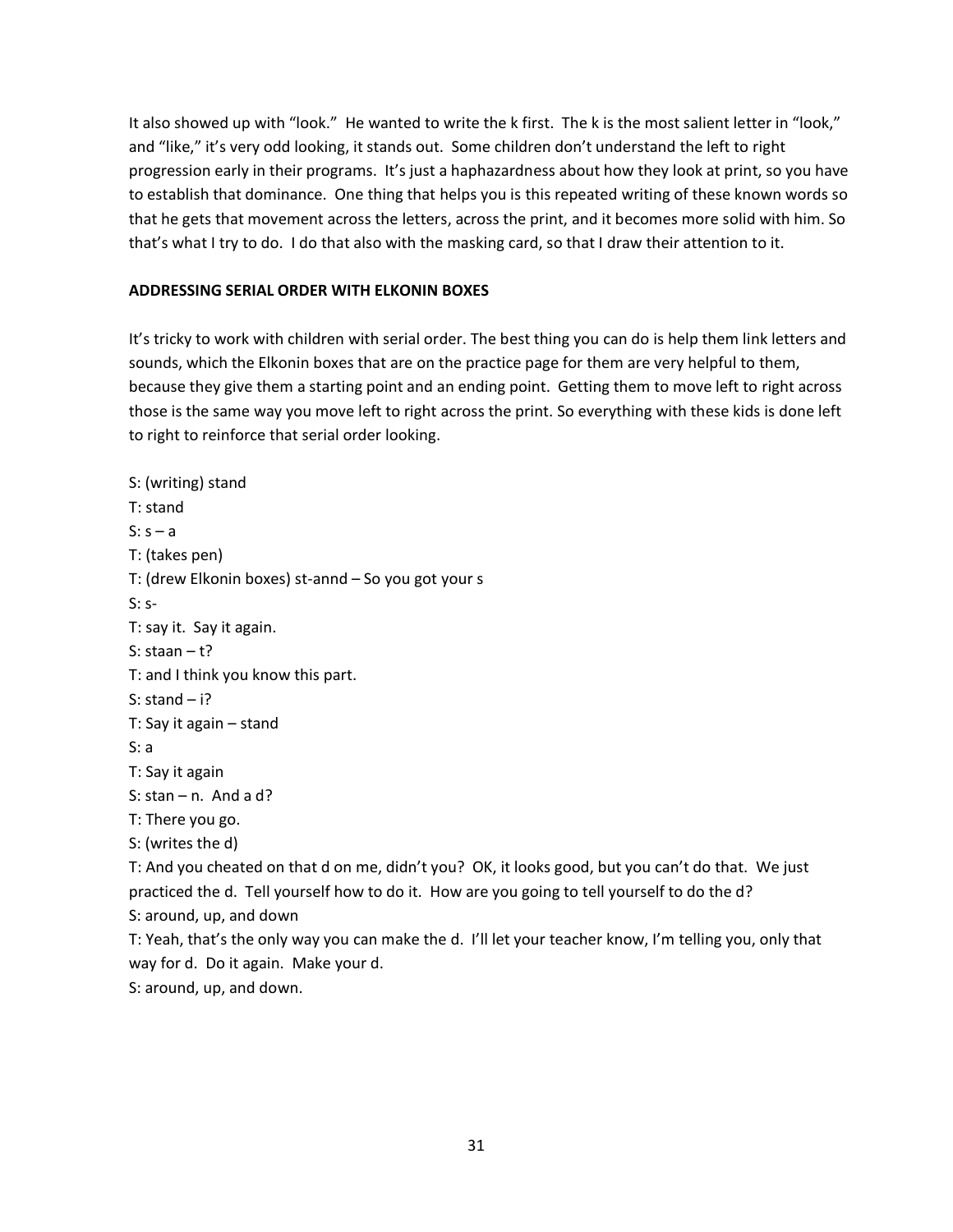It also showed up with "look." He wanted to write the k first. The k is the most salient letter in "look," and "like," it's very odd looking, it stands out. Some children don't understand the left to right progression early in their programs. It's just a haphazardness about how they look at print, so you have to establish that dominance. One thing that helps you is this repeated writing of these known words so that he gets that movement across the letters, across the print, and it becomes more solid with him. So that's what I try to do. I do that also with the masking card, so that I draw their attention to it.

## **ADDRESSING SERIAL ORDER WITH ELKONIN BOXES**

It's tricky to work with children with serial order. The best thing you can do is help them link letters and sounds, which the Elkonin boxes that are on the practice page for them are very helpful to them, because they give them a starting point and an ending point. Getting them to move left to right across those is the same way you move left to right across the print. So everything with these kids is done left to right to reinforce that serial order looking.

S: (writing) stand T: stand  $S: s - a$ T: (takes pen) T: (drew Elkonin boxes) st-annd – So you got your s S: s-T: say it. Say it again. S: staan – t? T: and I think you know this part. S: stand  $- i$ ? T: Say it again – stand S: a T: Say it again S: stan – n. And a d? T: There you go. S: (writes the d) T: And you cheated on that d on me, didn't you? OK, it looks good, but you can't do that. We just practiced the d. Tell yourself how to do it. How are you going to tell yourself to do the d? S: around, up, and down T: Yeah, that's the only way you can make the d. I'll let your teacher know, I'm telling you, only that way for d. Do it again. Make your d. S: around, up, and down.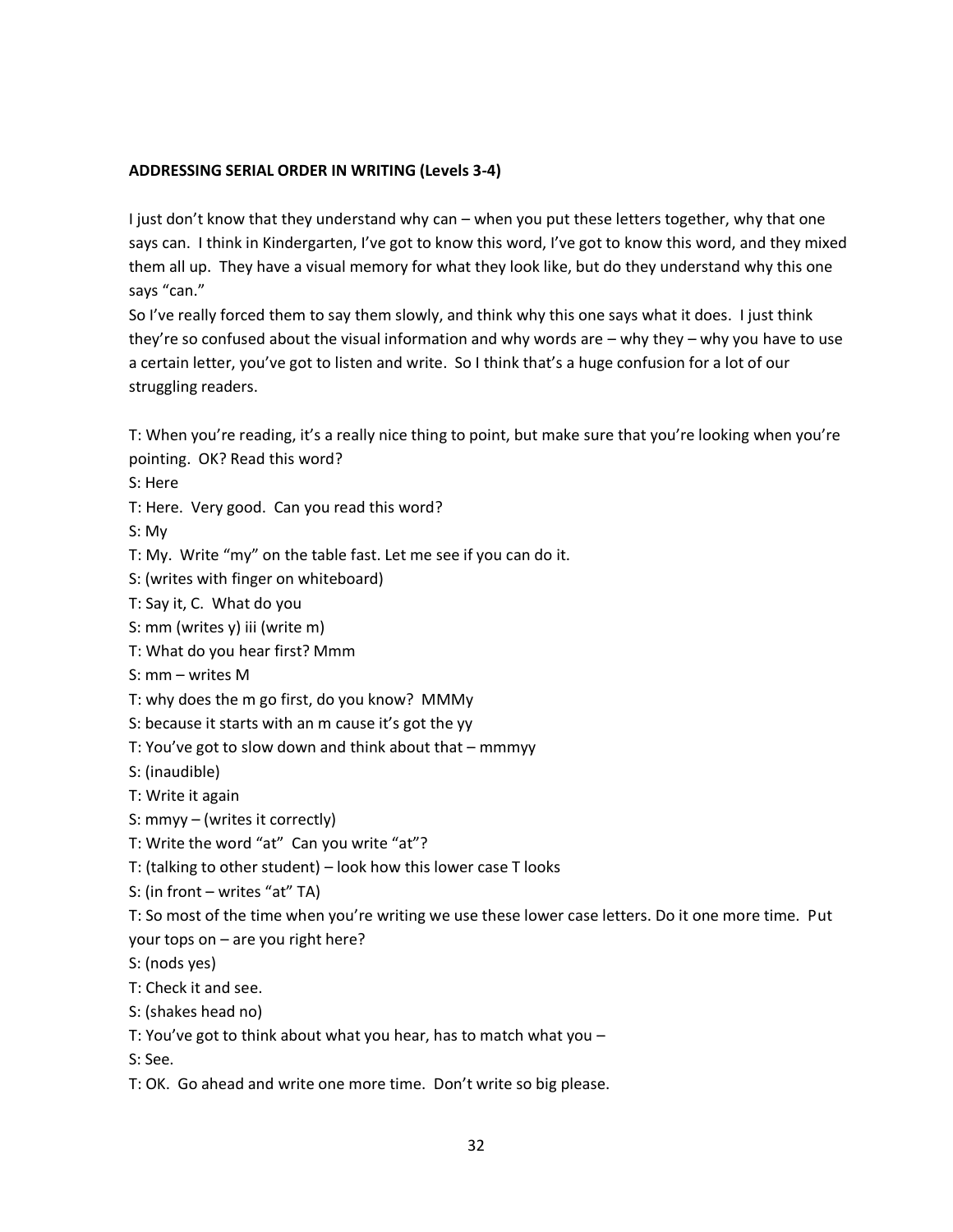## **ADDRESSING SERIAL ORDER IN WRITING (Levels 3-4)**

I just don't know that they understand why can – when you put these letters together, why that one says can. I think in Kindergarten, I've got to know this word, I've got to know this word, and they mixed them all up. They have a visual memory for what they look like, but do they understand why this one says "can."

So I've really forced them to say them slowly, and think why this one says what it does. I just think they're so confused about the visual information and why words are – why they – why you have to use a certain letter, you've got to listen and write. So I think that's a huge confusion for a lot of our struggling readers.

T: When you're reading, it's a really nice thing to point, but make sure that you're looking when you're pointing. OK? Read this word?

S: Here

T: Here. Very good. Can you read this word?

S: My

T: My. Write "my" on the table fast. Let me see if you can do it.

S: (writes with finger on whiteboard)

T: Say it, C. What do you

S: mm (writes y) iii (write m)

T: What do you hear first? Mmm

S: mm – writes M

T: why does the m go first, do you know? MMMy

S: because it starts with an m cause it's got the yy

T: You've got to slow down and think about that – mmmyy

S: (inaudible)

T: Write it again

S: mmyy – (writes it correctly)

T: Write the word "at" Can you write "at"?

T: (talking to other student) – look how this lower case T looks

S: (in front – writes "at" TA)

T: So most of the time when you're writing we use these lower case letters. Do it one more time. Put your tops on – are you right here?

S: (nods yes)

T: Check it and see.

S: (shakes head no)

T: You've got to think about what you hear, has to match what you –

S: See.

T: OK. Go ahead and write one more time. Don't write so big please.